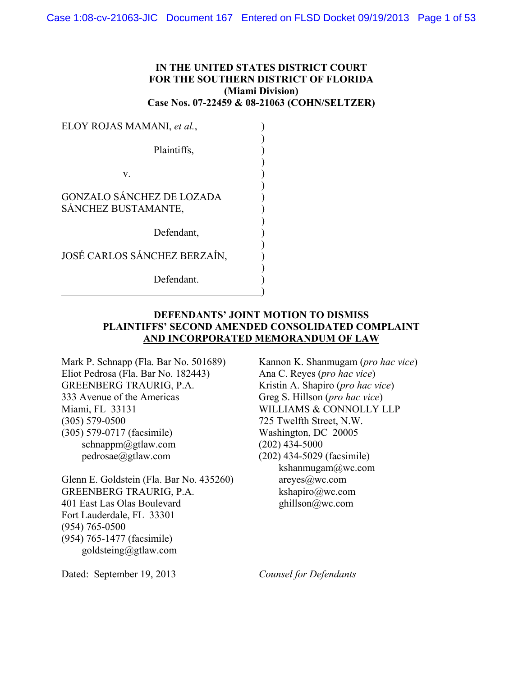# **IN THE UNITED STATES DISTRICT COURT FOR THE SOUTHERN DISTRICT OF FLORIDA (Miami Division) Case Nos. 07-22459 & 08-21063 (COHN/SELTZER)**

| ELOY ROJAS MAMANI, et al.,                              |  |
|---------------------------------------------------------|--|
| Plaintiffs,                                             |  |
| V.                                                      |  |
| <b>GONZALO SÁNCHEZ DE LOZADA</b><br>SÁNCHEZ BUSTAMANTE, |  |
| Defendant,                                              |  |
| JOSÉ CARLOS SÁNCHEZ BERZAÍN,                            |  |
| Defendant.                                              |  |

# **DEFENDANTS' JOINT MOTION TO DISMISS PLAINTIFFS' SECOND AMENDED CONSOLIDATED COMPLAINT AND INCORPORATED MEMORANDUM OF LAW**

Mark P. Schnapp (Fla. Bar No. 501689) Eliot Pedrosa (Fla. Bar No. 182443) GREENBERG TRAURIG, P.A. 333 Avenue of the Americas Miami, FL 33131 (305) 579-0500 (305) 579-0717 (facsimile) schnappm@gtlaw.com pedrosae@gtlaw.com

Glenn E. Goldstein (Fla. Bar No. 435260) GREENBERG TRAURIG, P.A. 401 East Las Olas Boulevard Fort Lauderdale, FL 33301 (954) 765-0500 (954) 765-1477 (facsimile) goldsteing@gtlaw.com

Kannon K. Shanmugam (*pro hac vice*) Ana C. Reyes (*pro hac vice*) Kristin A. Shapiro (*pro hac vice*) Greg S. Hillson (*pro hac vice*) WILLIAMS & CONNOLLY LLP 725 Twelfth Street, N.W. Washington, DC 20005 (202) 434-5000 (202) 434-5029 (facsimile) kshanmugam@wc.com areyes@wc.com kshapiro@wc.com ghillson@wc.com

Dated: September 19, 2013

*Counsel for Defendants*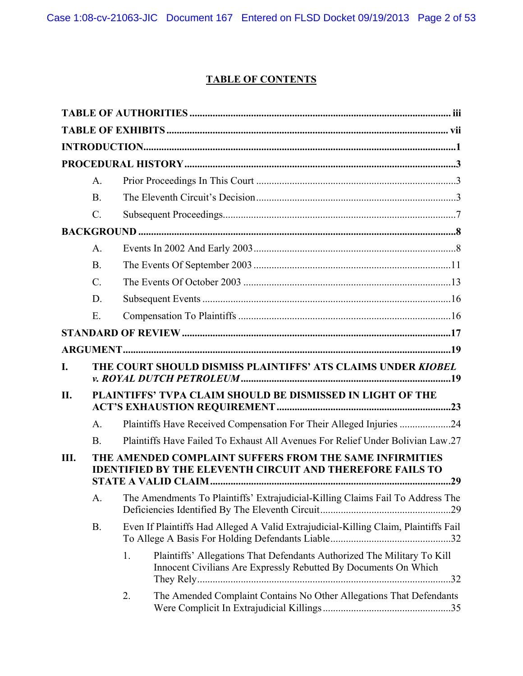Case 1:08-cv-21063-JIC Document 167 Entered on FLSD Docket 09/19/2013 Page 2 of 53

# **TABLE OF CONTENTS**

|     | A <sub>1</sub>  |    |                                                                                                                                            |  |
|-----|-----------------|----|--------------------------------------------------------------------------------------------------------------------------------------------|--|
|     | B <sub>1</sub>  |    |                                                                                                                                            |  |
|     | $\mathcal{C}$ . |    |                                                                                                                                            |  |
|     |                 |    |                                                                                                                                            |  |
|     | A <sub>1</sub>  |    |                                                                                                                                            |  |
|     | <b>B</b> .      |    |                                                                                                                                            |  |
|     | $\mathcal{C}$ . |    |                                                                                                                                            |  |
|     | D.              |    |                                                                                                                                            |  |
|     | Ε.              |    |                                                                                                                                            |  |
|     |                 |    |                                                                                                                                            |  |
|     |                 |    |                                                                                                                                            |  |
| I.  |                 |    | THE COURT SHOULD DISMISS PLAINTIFFS' ATS CLAIMS UNDER KIOBEL                                                                               |  |
| II. |                 |    | PLAINTIFFS' TVPA CLAIM SHOULD BE DISMISSED IN LIGHT OF THE                                                                                 |  |
|     | A <sub>1</sub>  |    | Plaintiffs Have Received Compensation For Their Alleged Injuries 24                                                                        |  |
|     | B.              |    | Plaintiffs Have Failed To Exhaust All Avenues For Relief Under Bolivian Law.27                                                             |  |
| Ш.  |                 |    | THE AMENDED COMPLAINT SUFFERS FROM THE SAME INFIRMITIES<br><b>IDENTIFIED BY THE ELEVENTH CIRCUIT AND THEREFORE FAILS TO</b>                |  |
|     | A.              |    | The Amendments To Plaintiffs' Extrajudicial-Killing Claims Fail To Address The                                                             |  |
|     | <b>B.</b>       |    | Even If Plaintiffs Had Alleged A Valid Extrajudicial-Killing Claim, Plaintiffs Fail                                                        |  |
|     |                 | 1. | Plaintiffs' Allegations That Defendants Authorized The Military To Kill<br>Innocent Civilians Are Expressly Rebutted By Documents On Which |  |
|     |                 | 2. | The Amended Complaint Contains No Other Allegations That Defendants                                                                        |  |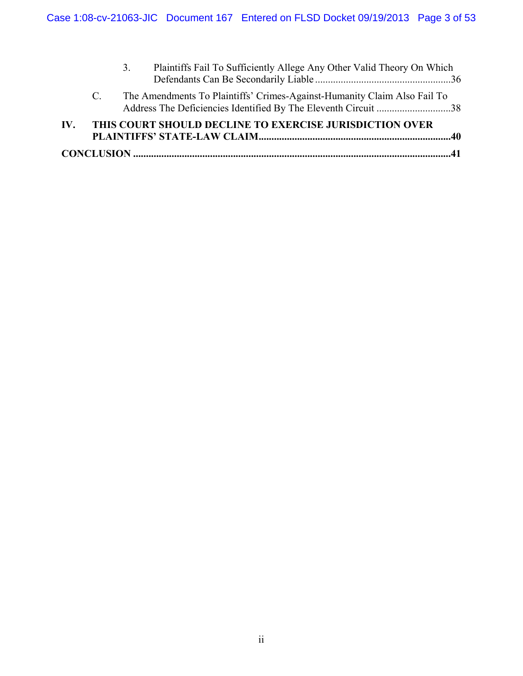| IV. |             | THIS COURT SHOULD DECLINE TO EXERCISE JURISDICTION OVER                      |  |
|-----|-------------|------------------------------------------------------------------------------|--|
|     | $C_{\perp}$ | The Amendments To Plaintiffs' Crimes-Against-Humanity Claim Also Fail To     |  |
|     |             | Plaintiffs Fail To Sufficiently Allege Any Other Valid Theory On Which<br>3. |  |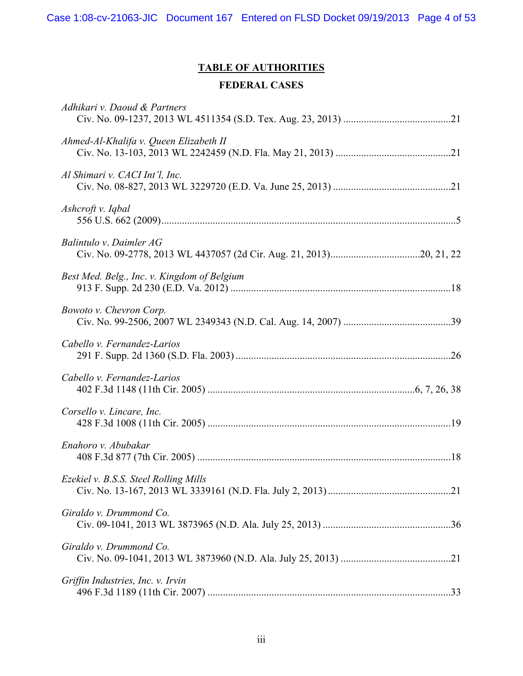Case 1:08-cv-21063-JIC Document 167 Entered on FLSD Docket 09/19/2013 Page 4 of 53

# **TABLE OF AUTHORITIES**

# **FEDERAL CASES**

| Adhikari v. Daoud & Partners                |  |
|---------------------------------------------|--|
| Ahmed-Al-Khalifa v. Queen Elizabeth II      |  |
| Al Shimari v. CACI Int'l, Inc.              |  |
| Ashcroft v. Iqbal                           |  |
| Balintulo v. Daimler AG                     |  |
| Best Med. Belg., Inc. v. Kingdom of Belgium |  |
| Bowoto v. Chevron Corp.                     |  |
| Cabello v. Fernandez-Larios                 |  |
| Cabello v. Fernandez-Larios                 |  |
| Corsello v. Lincare, Inc.                   |  |
| Enahoro v. Abubakar                         |  |
| Ezekiel v. B.S.S. Steel Rolling Mills       |  |
| Giraldo v. Drummond Co.                     |  |
| Giraldo v. Drummond Co.                     |  |
| Griffin Industries, Inc. v. Irvin           |  |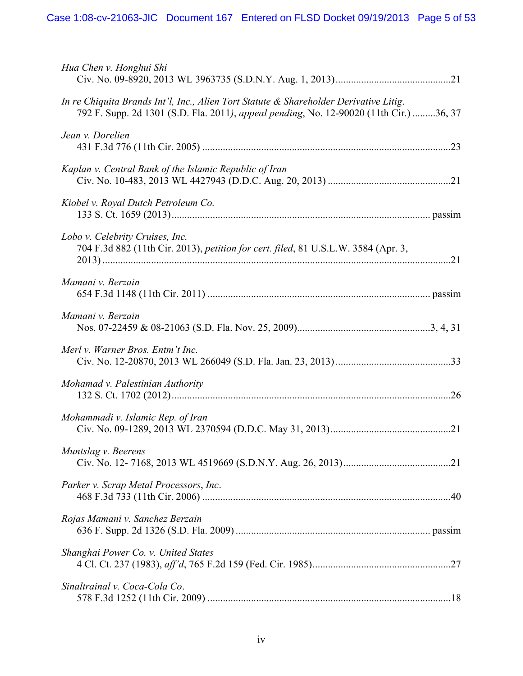| Hua Chen v. Honghui Shi                                                                                                                                                         |
|---------------------------------------------------------------------------------------------------------------------------------------------------------------------------------|
| In re Chiquita Brands Int'l, Inc., Alien Tort Statute & Shareholder Derivative Litig.<br>792 F. Supp. 2d 1301 (S.D. Fla. 2011), appeal pending, No. 12-90020 (11th Cir.) 36, 37 |
| Jean v. Dorelien                                                                                                                                                                |
| Kaplan v. Central Bank of the Islamic Republic of Iran                                                                                                                          |
| Kiobel v. Royal Dutch Petroleum Co.                                                                                                                                             |
| Lobo v. Celebrity Cruises, Inc.<br>704 F.3d 882 (11th Cir. 2013), petition for cert. filed, 81 U.S.L.W. 3584 (Apr. 3,                                                           |
| Mamani v. Berzain                                                                                                                                                               |
| Mamani v. Berzain                                                                                                                                                               |
| Merl v. Warner Bros. Entm't Inc.                                                                                                                                                |
| Mohamad v. Palestinian Authority                                                                                                                                                |
| Mohammadi v. Islamic Rep. of Iran                                                                                                                                               |
| Muntslag v. Beerens                                                                                                                                                             |
| Parker v. Scrap Metal Processors, Inc.                                                                                                                                          |
| Rojas Mamani v. Sanchez Berzain                                                                                                                                                 |
| Shanghai Power Co. v. United States                                                                                                                                             |
| Sinaltrainal v. Coca-Cola Co.                                                                                                                                                   |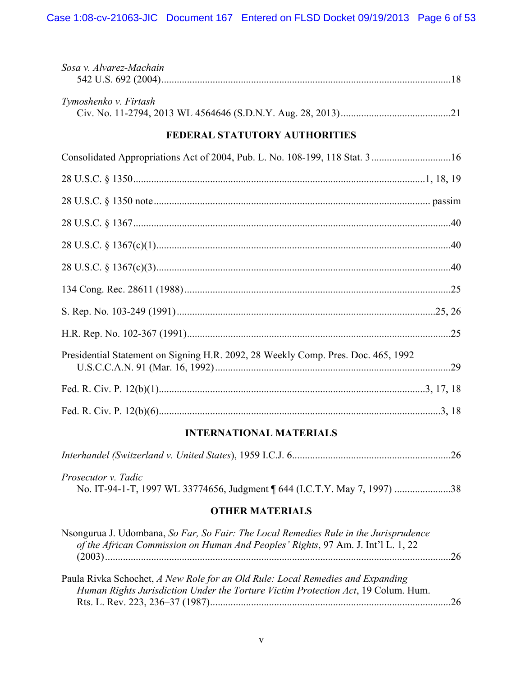| Sosa v. Alvarez-Machain                                                           |  |
|-----------------------------------------------------------------------------------|--|
| Tymoshenko v. Firtash                                                             |  |
| FEDERAL STATUTORY AUTHORITIES                                                     |  |
| Consolidated Appropriations Act of 2004, Pub. L. No. 108-199, 118 Stat. 316       |  |
|                                                                                   |  |
|                                                                                   |  |
|                                                                                   |  |
|                                                                                   |  |
|                                                                                   |  |
|                                                                                   |  |
|                                                                                   |  |
|                                                                                   |  |
| Presidential Statement on Signing H.R. 2092, 28 Weekly Comp. Pres. Doc. 465, 1992 |  |
|                                                                                   |  |
|                                                                                   |  |

# **INTERNATIONAL MATERIALS**

| <i>Prosecutor v. Tadic</i> |  |
|----------------------------|--|
|                            |  |

# **OTHER MATERIALS**

| Nsongurua J. Udombana, So Far, So Fair: The Local Remedies Rule in the Jurisprudence |    |
|--------------------------------------------------------------------------------------|----|
| of the African Commission on Human And Peoples' Rights, 97 Am. J. Int'l L. 1, 22     |    |
|                                                                                      |    |
|                                                                                      |    |
| Paula Rivka Schochet, A New Role for an Old Rule: Local Remedies and Expanding       |    |
| Human Rights Jurisdiction Under the Torture Victim Protection Act, 19 Colum. Hum.    |    |
|                                                                                      | 26 |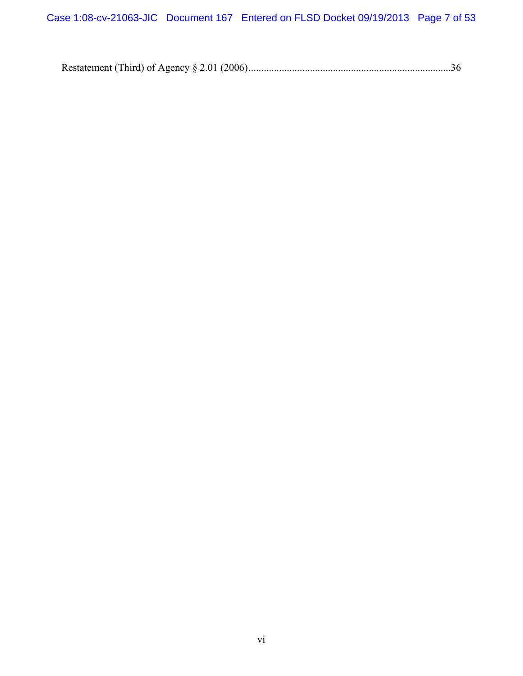Restatement (Third) of Agency § 2.01 (2006) ...............................................................................36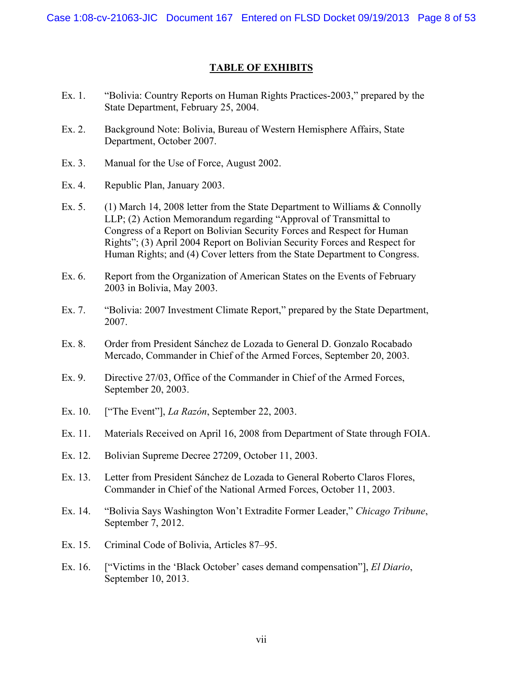# **TABLE OF EXHIBITS**

- Ex. 1. "Bolivia: Country Reports on Human Rights Practices-2003," prepared by the State Department, February 25, 2004.
- Ex. 2. Background Note: Bolivia, Bureau of Western Hemisphere Affairs, State Department, October 2007.
- Ex. 3. Manual for the Use of Force, August 2002.
- Ex. 4. Republic Plan, January 2003.
- Ex. 5. (1) March 14, 2008 letter from the State Department to Williams & Connolly LLP; (2) Action Memorandum regarding "Approval of Transmittal to Congress of a Report on Bolivian Security Forces and Respect for Human Rights"; (3) April 2004 Report on Bolivian Security Forces and Respect for Human Rights; and (4) Cover letters from the State Department to Congress.
- Ex. 6. Report from the Organization of American States on the Events of February 2003 in Bolivia, May 2003.
- Ex. 7. "Bolivia: 2007 Investment Climate Report," prepared by the State Department, 2007.
- Ex. 8. Order from President Sánchez de Lozada to General D. Gonzalo Rocabado Mercado, Commander in Chief of the Armed Forces, September 20, 2003.
- Ex. 9. Directive 27/03, Office of the Commander in Chief of the Armed Forces, September 20, 2003.
- Ex. 10. ["The Event"], *La Razón*, September 22, 2003.
- Ex. 11. Materials Received on April 16, 2008 from Department of State through FOIA.
- Ex. 12. Bolivian Supreme Decree 27209, October 11, 2003.
- Ex. 13. Letter from President Sánchez de Lozada to General Roberto Claros Flores, Commander in Chief of the National Armed Forces, October 11, 2003.
- Ex. 14. "Bolivia Says Washington Won't Extradite Former Leader," *Chicago Tribune*, September 7, 2012.
- Ex. 15. Criminal Code of Bolivia, Articles 87–95.
- Ex. 16. ["Victims in the 'Black October' cases demand compensation"], *El Diario*, September 10, 2013.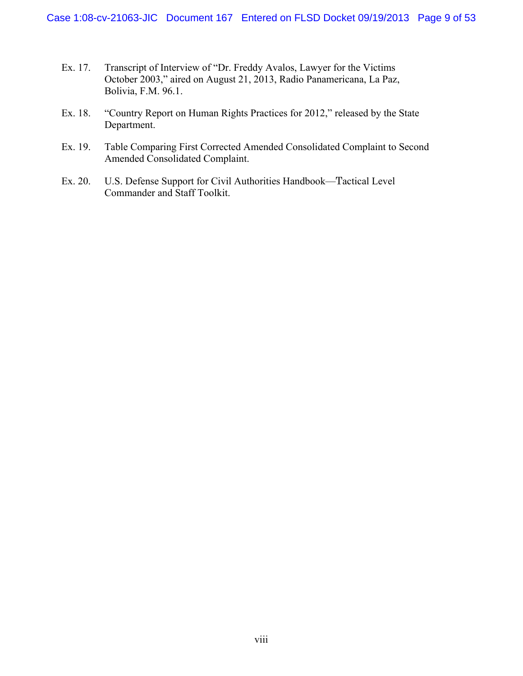- Ex. 17. Transcript of Interview of "Dr. Freddy Avalos, Lawyer for the Victims October 2003," aired on August 21, 2013, Radio Panamericana, La Paz, Bolivia, F.M. 96.1.
- Ex. 18. "Country Report on Human Rights Practices for 2012," released by the State Department.
- Ex. 19. Table Comparing First Corrected Amended Consolidated Complaint to Second Amended Consolidated Complaint.
- Ex. 20. U.S. Defense Support for Civil Authorities Handbook—Tactical Level Commander and Staff Toolkit.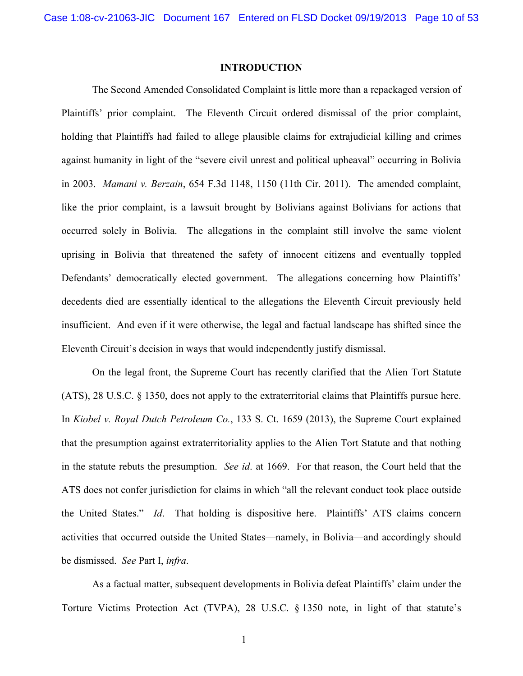#### **INTRODUCTION**

The Second Amended Consolidated Complaint is little more than a repackaged version of Plaintiffs' prior complaint. The Eleventh Circuit ordered dismissal of the prior complaint, holding that Plaintiffs had failed to allege plausible claims for extrajudicial killing and crimes against humanity in light of the "severe civil unrest and political upheaval" occurring in Bolivia in 2003. *Mamani v. Berzain*, 654 F.3d 1148, 1150 (11th Cir. 2011). The amended complaint, like the prior complaint, is a lawsuit brought by Bolivians against Bolivians for actions that occurred solely in Bolivia. The allegations in the complaint still involve the same violent uprising in Bolivia that threatened the safety of innocent citizens and eventually toppled Defendants' democratically elected government. The allegations concerning how Plaintiffs' decedents died are essentially identical to the allegations the Eleventh Circuit previously held insufficient. And even if it were otherwise, the legal and factual landscape has shifted since the Eleventh Circuit's decision in ways that would independently justify dismissal.

On the legal front, the Supreme Court has recently clarified that the Alien Tort Statute (ATS), 28 U.S.C. § 1350, does not apply to the extraterritorial claims that Plaintiffs pursue here. In *Kiobel v. Royal Dutch Petroleum Co.*, 133 S. Ct. 1659 (2013), the Supreme Court explained that the presumption against extraterritoriality applies to the Alien Tort Statute and that nothing in the statute rebuts the presumption. *See id*. at 1669. For that reason, the Court held that the ATS does not confer jurisdiction for claims in which "all the relevant conduct took place outside the United States." *Id*. That holding is dispositive here. Plaintiffs' ATS claims concern activities that occurred outside the United States—namely, in Bolivia—and accordingly should be dismissed. *See* Part I, *infra*.

As a factual matter, subsequent developments in Bolivia defeat Plaintiffs' claim under the Torture Victims Protection Act (TVPA), 28 U.S.C. § 1350 note, in light of that statute's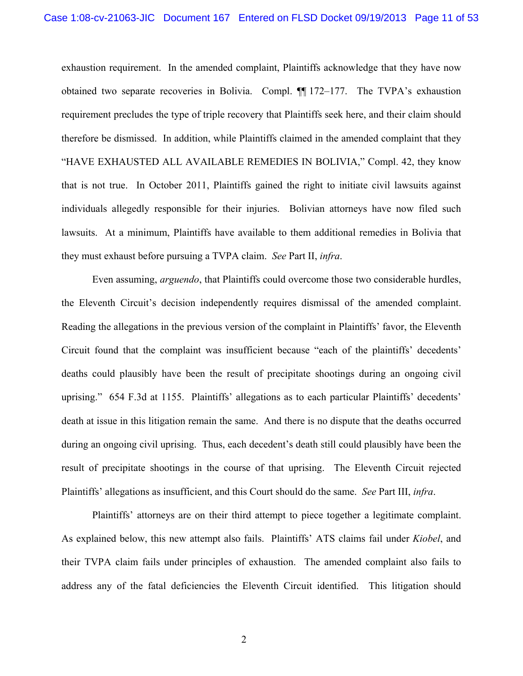exhaustion requirement. In the amended complaint, Plaintiffs acknowledge that they have now obtained two separate recoveries in Bolivia. Compl. ¶¶ 172–177. The TVPA's exhaustion requirement precludes the type of triple recovery that Plaintiffs seek here, and their claim should therefore be dismissed. In addition, while Plaintiffs claimed in the amended complaint that they "HAVE EXHAUSTED ALL AVAILABLE REMEDIES IN BOLIVIA," Compl. 42, they know that is not true. In October 2011, Plaintiffs gained the right to initiate civil lawsuits against individuals allegedly responsible for their injuries. Bolivian attorneys have now filed such lawsuits. At a minimum, Plaintiffs have available to them additional remedies in Bolivia that they must exhaust before pursuing a TVPA claim. *See* Part II, *infra*.

Even assuming, *arguendo*, that Plaintiffs could overcome those two considerable hurdles, the Eleventh Circuit's decision independently requires dismissal of the amended complaint. Reading the allegations in the previous version of the complaint in Plaintiffs' favor, the Eleventh Circuit found that the complaint was insufficient because "each of the plaintiffs' decedents' deaths could plausibly have been the result of precipitate shootings during an ongoing civil uprising." 654 F.3d at 1155. Plaintiffs' allegations as to each particular Plaintiffs' decedents' death at issue in this litigation remain the same. And there is no dispute that the deaths occurred during an ongoing civil uprising. Thus, each decedent's death still could plausibly have been the result of precipitate shootings in the course of that uprising. The Eleventh Circuit rejected Plaintiffs' allegations as insufficient, and this Court should do the same. *See* Part III, *infra*.

Plaintiffs' attorneys are on their third attempt to piece together a legitimate complaint. As explained below, this new attempt also fails. Plaintiffs' ATS claims fail under *Kiobel*, and their TVPA claim fails under principles of exhaustion. The amended complaint also fails to address any of the fatal deficiencies the Eleventh Circuit identified. This litigation should

2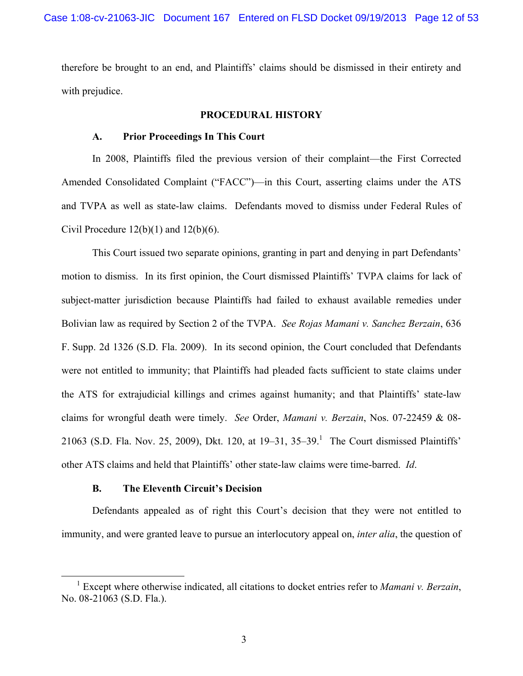therefore be brought to an end, and Plaintiffs' claims should be dismissed in their entirety and with prejudice.

### **PROCEDURAL HISTORY**

### **A. Prior Proceedings In This Court**

In 2008, Plaintiffs filed the previous version of their complaint—the First Corrected Amended Consolidated Complaint ("FACC")—in this Court, asserting claims under the ATS and TVPA as well as state-law claims. Defendants moved to dismiss under Federal Rules of Civil Procedure  $12(b)(1)$  and  $12(b)(6)$ .

This Court issued two separate opinions, granting in part and denying in part Defendants' motion to dismiss. In its first opinion, the Court dismissed Plaintiffs' TVPA claims for lack of subject-matter jurisdiction because Plaintiffs had failed to exhaust available remedies under Bolivian law as required by Section 2 of the TVPA. *See Rojas Mamani v. Sanchez Berzain*, 636 F. Supp. 2d 1326 (S.D. Fla. 2009). In its second opinion, the Court concluded that Defendants were not entitled to immunity; that Plaintiffs had pleaded facts sufficient to state claims under the ATS for extrajudicial killings and crimes against humanity; and that Plaintiffs' state-law claims for wrongful death were timely. *See* Order, *Mamani v. Berzain*, Nos. 07-22459 & 08- 21063 (S.D. Fla. Nov. 25, 2009), Dkt. 120, at  $19-31$ ,  $35-39$ .<sup>1</sup> The Court dismissed Plaintiffs' other ATS claims and held that Plaintiffs' other state-law claims were time-barred. *Id*.

# **B. The Eleventh Circuit's Decision**

Defendants appealed as of right this Court's decision that they were not entitled to immunity, and were granted leave to pursue an interlocutory appeal on, *inter alia*, the question of

<sup>1</sup> Except where otherwise indicated, all citations to docket entries refer to *Mamani v. Berzain*, No. 08-21063 (S.D. Fla.).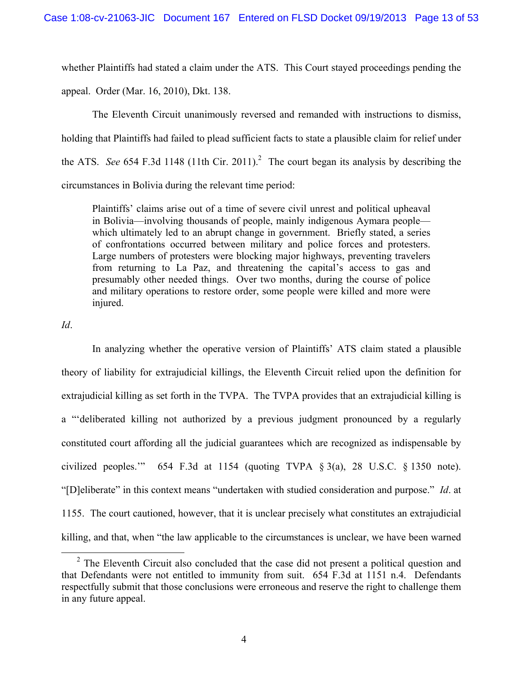whether Plaintiffs had stated a claim under the ATS. This Court stayed proceedings pending the appeal. Order (Mar. 16, 2010), Dkt. 138.

The Eleventh Circuit unanimously reversed and remanded with instructions to dismiss, holding that Plaintiffs had failed to plead sufficient facts to state a plausible claim for relief under the ATS. *See* 654 F.3d 1148 (11th Cir. 2011).<sup>2</sup> The court began its analysis by describing the circumstances in Bolivia during the relevant time period:

Plaintiffs' claims arise out of a time of severe civil unrest and political upheaval in Bolivia—involving thousands of people, mainly indigenous Aymara people which ultimately led to an abrupt change in government. Briefly stated, a series of confrontations occurred between military and police forces and protesters. Large numbers of protesters were blocking major highways, preventing travelers from returning to La Paz, and threatening the capital's access to gas and presumably other needed things. Over two months, during the course of police and military operations to restore order, some people were killed and more were injured.

*Id*.

In analyzing whether the operative version of Plaintiffs' ATS claim stated a plausible theory of liability for extrajudicial killings, the Eleventh Circuit relied upon the definition for extrajudicial killing as set forth in the TVPA. The TVPA provides that an extrajudicial killing is a "'deliberated killing not authorized by a previous judgment pronounced by a regularly constituted court affording all the judicial guarantees which are recognized as indispensable by civilized peoples." 654 F.3d at 1154 (quoting TVPA  $\S$  3(a), 28 U.S.C.  $\S$  1350 note). "[D]eliberate" in this context means "undertaken with studied consideration and purpose." *Id*. at 1155. The court cautioned, however, that it is unclear precisely what constitutes an extrajudicial killing, and that, when "the law applicable to the circumstances is unclear, we have been warned

<sup>&</sup>lt;sup>2</sup> The Eleventh Circuit also concluded that the case did not present a political question and that Defendants were not entitled to immunity from suit. 654 F.3d at 1151 n.4. Defendants respectfully submit that those conclusions were erroneous and reserve the right to challenge them in any future appeal.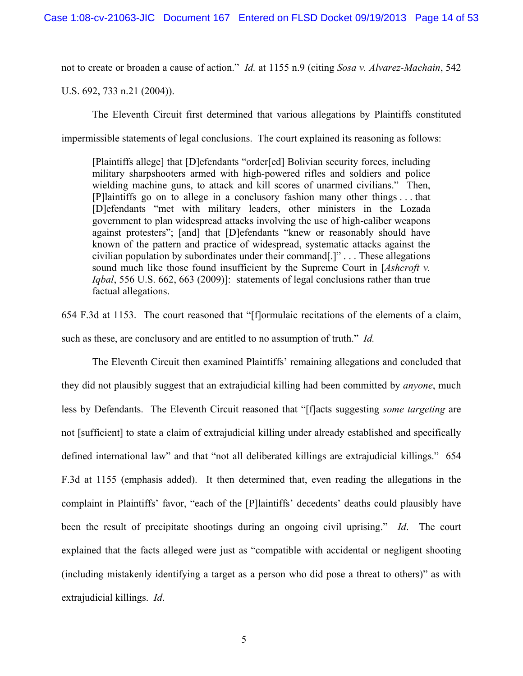not to create or broaden a cause of action." *Id.* at 1155 n.9 (citing *Sosa v. Alvarez-Machain*, 542

U.S. 692, 733 n.21 (2004)).

The Eleventh Circuit first determined that various allegations by Plaintiffs constituted impermissible statements of legal conclusions. The court explained its reasoning as follows:

[Plaintiffs allege] that [D]efendants "order[ed] Bolivian security forces, including military sharpshooters armed with high-powered rifles and soldiers and police wielding machine guns, to attack and kill scores of unarmed civilians." Then, [P]laintiffs go on to allege in a conclusory fashion many other things . . . that [D]efendants "met with military leaders, other ministers in the Lozada government to plan widespread attacks involving the use of high-caliber weapons against protesters"; [and] that [D]efendants "knew or reasonably should have known of the pattern and practice of widespread, systematic attacks against the civilian population by subordinates under their command[.]" . . . These allegations sound much like those found insufficient by the Supreme Court in [*Ashcroft v. Iqbal*, 556 U.S. 662, 663 (2009)]: statements of legal conclusions rather than true factual allegations.

654 F.3d at 1153. The court reasoned that "[f]ormulaic recitations of the elements of a claim, such as these, are conclusory and are entitled to no assumption of truth." *Id.*

The Eleventh Circuit then examined Plaintiffs' remaining allegations and concluded that they did not plausibly suggest that an extrajudicial killing had been committed by *anyone*, much less by Defendants. The Eleventh Circuit reasoned that "[f]acts suggesting *some targeting* are not [sufficient] to state a claim of extrajudicial killing under already established and specifically defined international law" and that "not all deliberated killings are extrajudicial killings." 654 F.3d at 1155 (emphasis added). It then determined that, even reading the allegations in the complaint in Plaintiffs' favor, "each of the [P]laintiffs' decedents' deaths could plausibly have been the result of precipitate shootings during an ongoing civil uprising." *Id*. The court explained that the facts alleged were just as "compatible with accidental or negligent shooting (including mistakenly identifying a target as a person who did pose a threat to others)" as with extrajudicial killings. *Id*.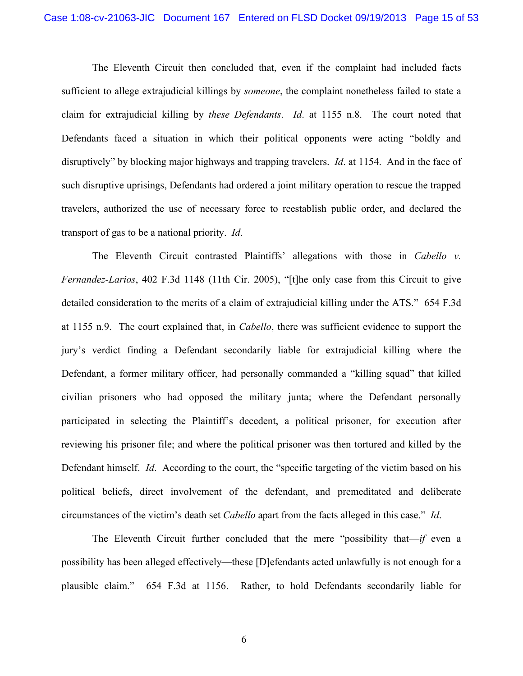The Eleventh Circuit then concluded that, even if the complaint had included facts sufficient to allege extrajudicial killings by *someone*, the complaint nonetheless failed to state a claim for extrajudicial killing by *these Defendants*. *Id*. at 1155 n.8. The court noted that Defendants faced a situation in which their political opponents were acting "boldly and disruptively" by blocking major highways and trapping travelers. *Id*. at 1154. And in the face of such disruptive uprisings, Defendants had ordered a joint military operation to rescue the trapped travelers, authorized the use of necessary force to reestablish public order, and declared the transport of gas to be a national priority. *Id*.

The Eleventh Circuit contrasted Plaintiffs' allegations with those in *Cabello v. Fernandez-Larios*, 402 F.3d 1148 (11th Cir. 2005), "[t]he only case from this Circuit to give detailed consideration to the merits of a claim of extrajudicial killing under the ATS." 654 F.3d at 1155 n.9. The court explained that, in *Cabello*, there was sufficient evidence to support the jury's verdict finding a Defendant secondarily liable for extrajudicial killing where the Defendant, a former military officer, had personally commanded a "killing squad" that killed civilian prisoners who had opposed the military junta; where the Defendant personally participated in selecting the Plaintiff's decedent, a political prisoner, for execution after reviewing his prisoner file; and where the political prisoner was then tortured and killed by the Defendant himself. *Id*. According to the court, the "specific targeting of the victim based on his political beliefs, direct involvement of the defendant, and premeditated and deliberate circumstances of the victim's death set *Cabello* apart from the facts alleged in this case." *Id*.

The Eleventh Circuit further concluded that the mere "possibility that—*if* even a possibility has been alleged effectively—these [D]efendants acted unlawfully is not enough for a plausible claim." 654 F.3d at 1156. Rather, to hold Defendants secondarily liable for

6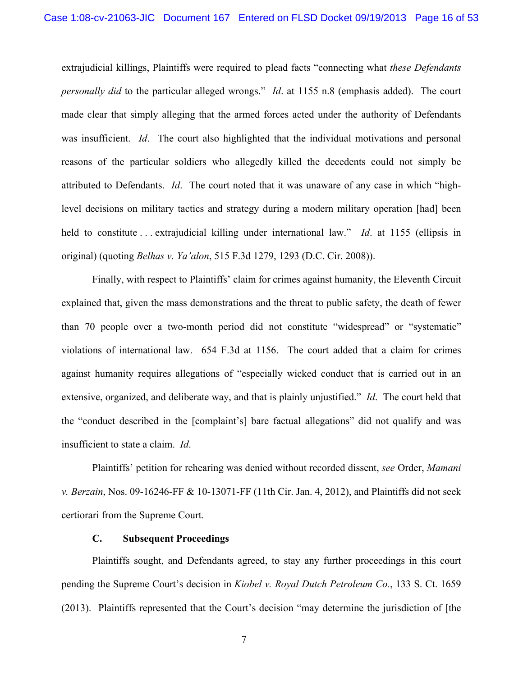extrajudicial killings, Plaintiffs were required to plead facts "connecting what *these Defendants personally did* to the particular alleged wrongs." *Id*. at 1155 n.8 (emphasis added). The court made clear that simply alleging that the armed forces acted under the authority of Defendants was insufficient. *Id*. The court also highlighted that the individual motivations and personal reasons of the particular soldiers who allegedly killed the decedents could not simply be attributed to Defendants. *Id*. The court noted that it was unaware of any case in which "highlevel decisions on military tactics and strategy during a modern military operation [had] been held to constitute . . . extrajudicial killing under international law." *Id*. at 1155 (ellipsis in original) (quoting *Belhas v. Ya'alon*, 515 F.3d 1279, 1293 (D.C. Cir. 2008)).

Finally, with respect to Plaintiffs' claim for crimes against humanity, the Eleventh Circuit explained that, given the mass demonstrations and the threat to public safety, the death of fewer than 70 people over a two-month period did not constitute "widespread" or "systematic" violations of international law. 654 F.3d at 1156. The court added that a claim for crimes against humanity requires allegations of "especially wicked conduct that is carried out in an extensive, organized, and deliberate way, and that is plainly unjustified." *Id*. The court held that the "conduct described in the [complaint's] bare factual allegations" did not qualify and was insufficient to state a claim. *Id*.

Plaintiffs' petition for rehearing was denied without recorded dissent, *see* Order, *Mamani v. Berzain*, Nos. 09-16246-FF & 10-13071-FF (11th Cir. Jan. 4, 2012), and Plaintiffs did not seek certiorari from the Supreme Court.

### **C. Subsequent Proceedings**

Plaintiffs sought, and Defendants agreed, to stay any further proceedings in this court pending the Supreme Court's decision in *Kiobel v. Royal Dutch Petroleum Co.*, 133 S. Ct. 1659 (2013). Plaintiffs represented that the Court's decision "may determine the jurisdiction of [the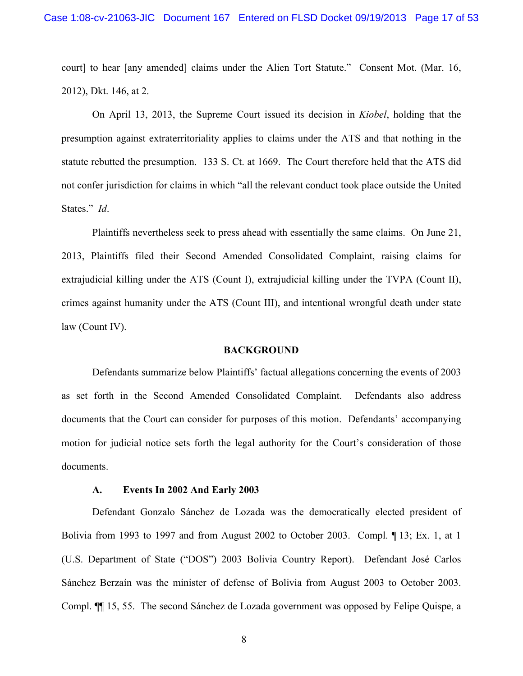court] to hear [any amended] claims under the Alien Tort Statute." Consent Mot. (Mar. 16, 2012), Dkt. 146, at 2.

On April 13, 2013, the Supreme Court issued its decision in *Kiobel*, holding that the presumption against extraterritoriality applies to claims under the ATS and that nothing in the statute rebutted the presumption. 133 S. Ct. at 1669. The Court therefore held that the ATS did not confer jurisdiction for claims in which "all the relevant conduct took place outside the United States." *Id*.

Plaintiffs nevertheless seek to press ahead with essentially the same claims. On June 21, 2013, Plaintiffs filed their Second Amended Consolidated Complaint, raising claims for extrajudicial killing under the ATS (Count I), extrajudicial killing under the TVPA (Count II), crimes against humanity under the ATS (Count III), and intentional wrongful death under state law (Count IV).

#### **BACKGROUND**

Defendants summarize below Plaintiffs' factual allegations concerning the events of 2003 as set forth in the Second Amended Consolidated Complaint. Defendants also address documents that the Court can consider for purposes of this motion. Defendants' accompanying motion for judicial notice sets forth the legal authority for the Court's consideration of those documents.

#### **A. Events In 2002 And Early 2003**

Defendant Gonzalo Sánchez de Lozada was the democratically elected president of Bolivia from 1993 to 1997 and from August 2002 to October 2003. Compl. ¶ 13; Ex. 1, at 1 (U.S. Department of State ("DOS") 2003 Bolivia Country Report). Defendant José Carlos Sánchez Berzaín was the minister of defense of Bolivia from August 2003 to October 2003. Compl. ¶¶ 15, 55. The second Sánchez de Lozada government was opposed by Felipe Quispe, a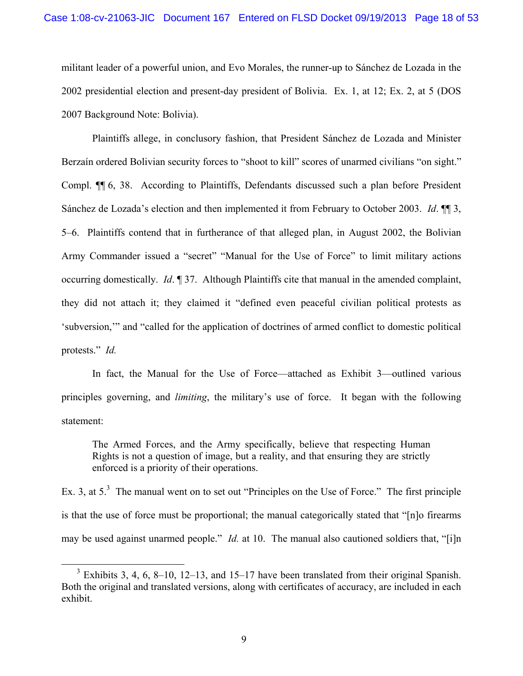militant leader of a powerful union, and Evo Morales, the runner-up to Sánchez de Lozada in the 2002 presidential election and present-day president of Bolivia. Ex. 1, at 12; Ex. 2, at 5 (DOS 2007 Background Note: Bolivia).

Plaintiffs allege, in conclusory fashion, that President Sánchez de Lozada and Minister Berzaín ordered Bolivian security forces to "shoot to kill" scores of unarmed civilians "on sight." Compl. ¶¶ 6, 38. According to Plaintiffs, Defendants discussed such a plan before President Sánchez de Lozada's election and then implemented it from February to October 2003. *Id*. ¶¶ 3, 5–6. Plaintiffs contend that in furtherance of that alleged plan, in August 2002, the Bolivian Army Commander issued a "secret" "Manual for the Use of Force" to limit military actions occurring domestically. *Id*. ¶ 37. Although Plaintiffs cite that manual in the amended complaint, they did not attach it; they claimed it "defined even peaceful civilian political protests as 'subversion,'" and "called for the application of doctrines of armed conflict to domestic political protests." *Id.*

In fact, the Manual for the Use of Force—attached as Exhibit 3—outlined various principles governing, and *limiting*, the military's use of force. It began with the following statement:

The Armed Forces, and the Army specifically, believe that respecting Human Rights is not a question of image, but a reality, and that ensuring they are strictly enforced is a priority of their operations.

Ex. 3, at  $5<sup>3</sup>$  The manual went on to set out "Principles on the Use of Force." The first principle is that the use of force must be proportional; the manual categorically stated that "[n]o firearms may be used against unarmed people." *Id.* at 10. The manual also cautioned soldiers that, "[i]n

<sup>&</sup>lt;sup>3</sup> Exhibits 3, 4, 6, 8–10, 12–13, and 15–17 have been translated from their original Spanish. Both the original and translated versions, along with certificates of accuracy, are included in each exhibit.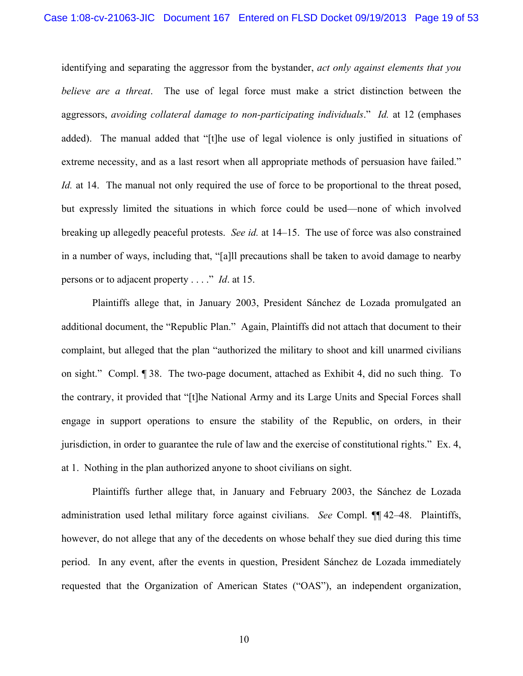identifying and separating the aggressor from the bystander, *act only against elements that you believe are a threat*. The use of legal force must make a strict distinction between the aggressors, *avoiding collateral damage to non-participating individuals*." *Id.* at 12 (emphases added). The manual added that "[t]he use of legal violence is only justified in situations of extreme necessity, and as a last resort when all appropriate methods of persuasion have failed." *Id.* at 14. The manual not only required the use of force to be proportional to the threat posed, but expressly limited the situations in which force could be used—none of which involved breaking up allegedly peaceful protests. *See id.* at 14–15.The use of force was also constrained in a number of ways, including that, "[a]ll precautions shall be taken to avoid damage to nearby persons or to adjacent property . . . ." *Id*. at 15.

Plaintiffs allege that, in January 2003, President Sánchez de Lozada promulgated an additional document, the "Republic Plan." Again, Plaintiffs did not attach that document to their complaint, but alleged that the plan "authorized the military to shoot and kill unarmed civilians on sight." Compl. ¶ 38. The two-page document, attached as Exhibit 4, did no such thing. To the contrary, it provided that "[t]he National Army and its Large Units and Special Forces shall engage in support operations to ensure the stability of the Republic, on orders, in their jurisdiction, in order to guarantee the rule of law and the exercise of constitutional rights." Ex. 4, at 1. Nothing in the plan authorized anyone to shoot civilians on sight.

Plaintiffs further allege that, in January and February 2003, the Sánchez de Lozada administration used lethal military force against civilians. *See* Compl. ¶¶ 42–48. Plaintiffs, however, do not allege that any of the decedents on whose behalf they sue died during this time period. In any event, after the events in question, President Sánchez de Lozada immediately requested that the Organization of American States ("OAS"), an independent organization,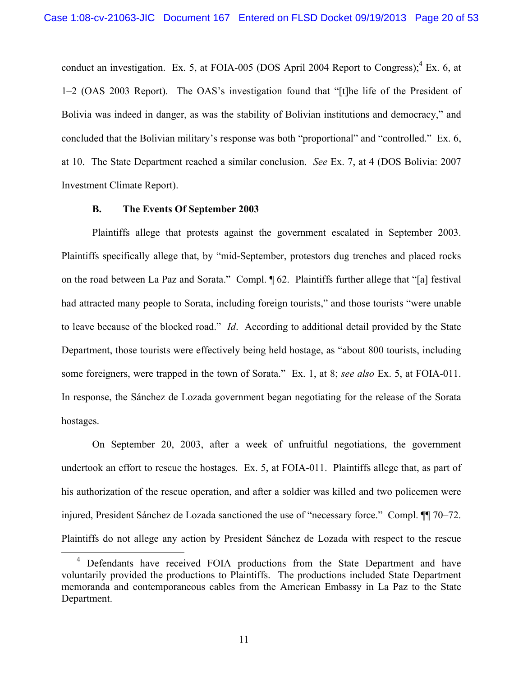conduct an investigation. Ex. 5, at FOIA-005 (DOS April 2004 Report to Congress);  ${}^{4}$  Ex. 6, at 1–2 (OAS 2003 Report). The OAS's investigation found that "[t]he life of the President of Bolivia was indeed in danger, as was the stability of Bolivian institutions and democracy," and concluded that the Bolivian military's response was both "proportional" and "controlled." Ex. 6, at 10. The State Department reached a similar conclusion. *See* Ex. 7, at 4 (DOS Bolivia: 2007 Investment Climate Report).

#### **B. The Events Of September 2003**

Plaintiffs allege that protests against the government escalated in September 2003. Plaintiffs specifically allege that, by "mid-September, protestors dug trenches and placed rocks on the road between La Paz and Sorata." Compl. ¶ 62. Plaintiffs further allege that "[a] festival had attracted many people to Sorata, including foreign tourists," and those tourists "were unable to leave because of the blocked road." *Id*. According to additional detail provided by the State Department, those tourists were effectively being held hostage, as "about 800 tourists, including some foreigners, were trapped in the town of Sorata." Ex. 1, at 8; *see also* Ex. 5, at FOIA-011. In response, the Sánchez de Lozada government began negotiating for the release of the Sorata hostages.

On September 20, 2003, after a week of unfruitful negotiations, the government undertook an effort to rescue the hostages. Ex. 5, at FOIA-011. Plaintiffs allege that, as part of his authorization of the rescue operation, and after a soldier was killed and two policemen were injured, President Sánchez de Lozada sanctioned the use of "necessary force." Compl. ¶¶ 70–72. Plaintiffs do not allege any action by President Sánchez de Lozada with respect to the rescue

11

<sup>&</sup>lt;sup>4</sup> Defendants have received FOIA productions from the State Department and have voluntarily provided the productions to Plaintiffs. The productions included State Department memoranda and contemporaneous cables from the American Embassy in La Paz to the State Department.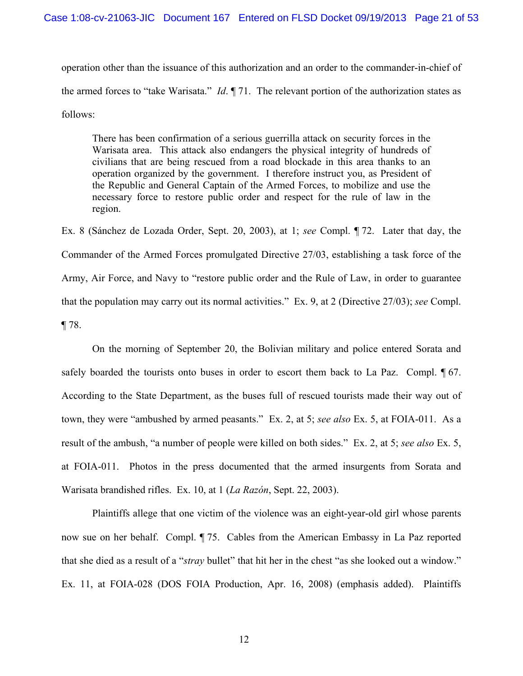operation other than the issuance of this authorization and an order to the commander-in-chief of the armed forces to "take Warisata." *Id*. ¶ 71. The relevant portion of the authorization states as follows:

There has been confirmation of a serious guerrilla attack on security forces in the Warisata area. This attack also endangers the physical integrity of hundreds of civilians that are being rescued from a road blockade in this area thanks to an operation organized by the government. I therefore instruct you, as President of the Republic and General Captain of the Armed Forces, to mobilize and use the necessary force to restore public order and respect for the rule of law in the region.

Ex. 8 (Sánchez de Lozada Order, Sept. 20, 2003), at 1; *see* Compl. ¶ 72. Later that day, the Commander of the Armed Forces promulgated Directive 27/03, establishing a task force of the Army, Air Force, and Navy to "restore public order and the Rule of Law, in order to guarantee that the population may carry out its normal activities." Ex. 9, at 2 (Directive 27/03); *see* Compl. ¶ 78.

On the morning of September 20, the Bolivian military and police entered Sorata and safely boarded the tourists onto buses in order to escort them back to La Paz. Compl. ¶ 67. According to the State Department, as the buses full of rescued tourists made their way out of town, they were "ambushed by armed peasants." Ex. 2, at 5; *see also* Ex. 5, at FOIA-011. As a result of the ambush, "a number of people were killed on both sides." Ex. 2, at 5; *see also* Ex. 5, at FOIA-011. Photos in the press documented that the armed insurgents from Sorata and Warisata brandished rifles. Ex. 10, at 1 (*La Razón*, Sept. 22, 2003).

Plaintiffs allege that one victim of the violence was an eight-year-old girl whose parents now sue on her behalf. Compl. ¶ 75. Cables from the American Embassy in La Paz reported that she died as a result of a "*stray* bullet" that hit her in the chest "as she looked out a window." Ex. 11, at FOIA-028 (DOS FOIA Production, Apr. 16, 2008) (emphasis added). Plaintiffs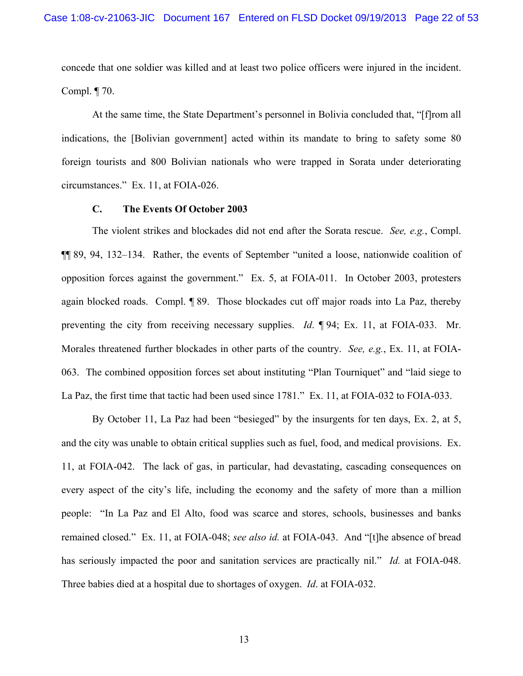concede that one soldier was killed and at least two police officers were injured in the incident. Compl. ¶ 70.

At the same time, the State Department's personnel in Bolivia concluded that, "[f]rom all indications, the [Bolivian government] acted within its mandate to bring to safety some 80 foreign tourists and 800 Bolivian nationals who were trapped in Sorata under deteriorating circumstances." Ex. 11, at FOIA-026.

#### **C. The Events Of October 2003**

The violent strikes and blockades did not end after the Sorata rescue. *See, e.g.*, Compl. ¶¶ 89, 94, 132–134. Rather, the events of September "united a loose, nationwide coalition of opposition forces against the government."Ex. 5, at FOIA-011. In October 2003, protesters again blocked roads. Compl. ¶ 89. Those blockades cut off major roads into La Paz, thereby preventing the city from receiving necessary supplies. *Id*. ¶ 94; Ex. 11, at FOIA-033. Mr. Morales threatened further blockades in other parts of the country. *See, e.g.*, Ex. 11, at FOIA-063. The combined opposition forces set about instituting "Plan Tourniquet" and "laid siege to La Paz, the first time that tactic had been used since 1781." Ex. 11, at FOIA-032 to FOIA-033.

By October 11, La Paz had been "besieged" by the insurgents for ten days, Ex. 2, at 5, and the city was unable to obtain critical supplies such as fuel, food, and medical provisions. Ex. 11, at FOIA-042. The lack of gas, in particular, had devastating, cascading consequences on every aspect of the city's life, including the economy and the safety of more than a million people: "In La Paz and El Alto, food was scarce and stores, schools, businesses and banks remained closed." Ex. 11, at FOIA-048; *see also id.* at FOIA-043. And "[t]he absence of bread has seriously impacted the poor and sanitation services are practically nil." *Id.* at FOIA-048. Three babies died at a hospital due to shortages of oxygen. *Id*. at FOIA-032.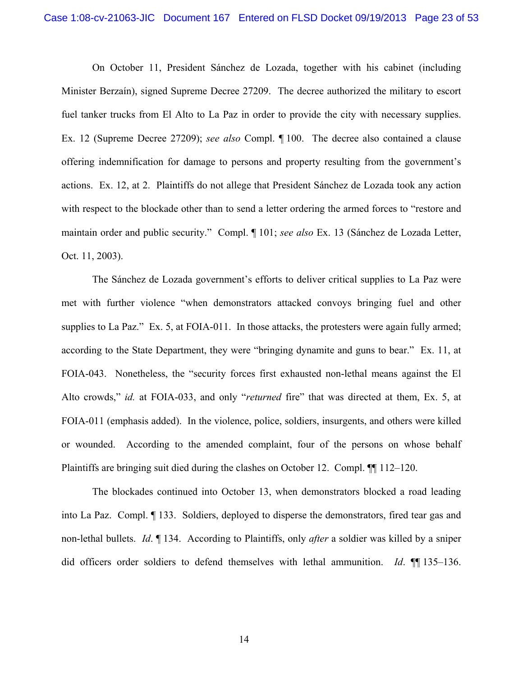On October 11, President Sánchez de Lozada, together with his cabinet (including Minister Berzaín), signed Supreme Decree 27209. The decree authorized the military to escort fuel tanker trucks from El Alto to La Paz in order to provide the city with necessary supplies. Ex. 12 (Supreme Decree 27209); *see also* Compl. ¶ 100. The decree also contained a clause offering indemnification for damage to persons and property resulting from the government's actions. Ex. 12, at 2. Plaintiffs do not allege that President Sánchez de Lozada took any action with respect to the blockade other than to send a letter ordering the armed forces to "restore and maintain order and public security." Compl. ¶ 101; *see also* Ex. 13 (Sánchez de Lozada Letter, Oct. 11, 2003).

The Sánchez de Lozada government's efforts to deliver critical supplies to La Paz were met with further violence "when demonstrators attacked convoys bringing fuel and other supplies to La Paz." Ex. 5, at FOIA-011. In those attacks, the protesters were again fully armed; according to the State Department, they were "bringing dynamite and guns to bear." Ex. 11, at FOIA-043. Nonetheless, the "security forces first exhausted non-lethal means against the El Alto crowds," *id.* at FOIA-033, and only "*returned* fire" that was directed at them, Ex. 5, at FOIA-011 (emphasis added). In the violence, police, soldiers, insurgents, and others were killed or wounded. According to the amended complaint, four of the persons on whose behalf Plaintiffs are bringing suit died during the clashes on October 12. Compl. ¶¶ 112–120.

The blockades continued into October 13, when demonstrators blocked a road leading into La Paz. Compl. ¶ 133. Soldiers, deployed to disperse the demonstrators, fired tear gas and non-lethal bullets. *Id*. ¶ 134. According to Plaintiffs, only *after* a soldier was killed by a sniper did officers order soldiers to defend themselves with lethal ammunition. *Id*. ¶¶ 135–136.

14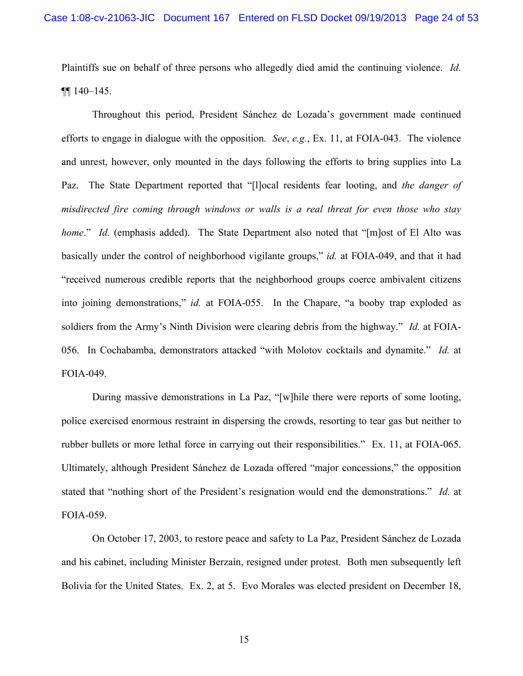Plaintiffs sue on behalf of three persons who allegedly died amid the continuing violence. *Id*. ¶¶ 140–145.

Throughout this period, President Sánchez de Lozada's government made continued efforts to engage in dialogue with the opposition. *See*, *e.g.*, Ex. 11, at FOIA-043. The violence and unrest, however, only mounted in the days following the efforts to bring supplies into La Paz. The State Department reported that "[l]ocal residents fear looting, and *the danger of misdirected fire coming through windows or walls is a real threat for even those who stay home.*" *Id.* (emphasis added). The State Department also noted that "[m]ost of El Alto was basically under the control of neighborhood vigilante groups," *id.* at FOIA-049, and that it had "received numerous credible reports that the neighborhood groups coerce ambivalent citizens into joining demonstrations," *id.* at FOIA-055. In the Chapare, "a booby trap exploded as soldiers from the Army's Ninth Division were clearing debris from the highway." *Id.* at FOIA-056. In Cochabamba, demonstrators attacked "with Molotov cocktails and dynamite." *Id.* at FOIA-049.

During massive demonstrations in La Paz, "[w]hile there were reports of some looting, police exercised enormous restraint in dispersing the crowds, resorting to tear gas but neither to rubber bullets or more lethal force in carrying out their responsibilities." Ex. 11, at FOIA-065. Ultimately, although President Sánchez de Lozada offered "major concessions," the opposition stated that "nothing short of the President's resignation would end the demonstrations." *Id.* at FOIA-059.

On October 17, 2003, to restore peace and safety to La Paz, President Sánchez de Lozada and his cabinet, including Minister Berzaín, resigned under protest. Both men subsequently left Bolivia for the United States. Ex. 2, at 5. Evo Morales was elected president on December 18,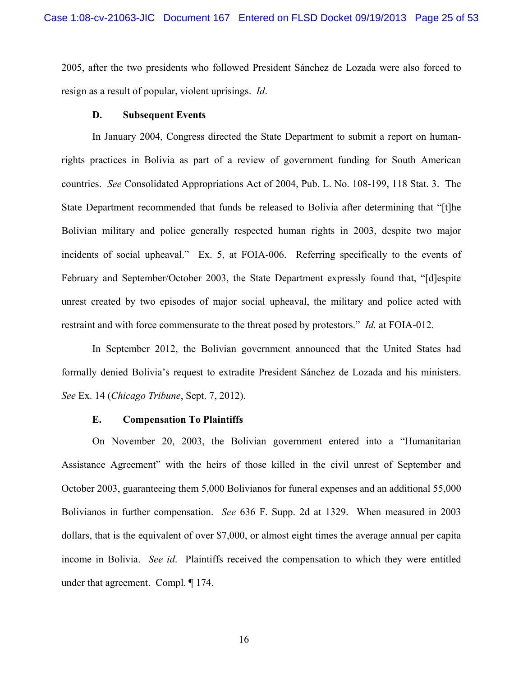2005, after the two presidents who followed President Sánchez de Lozada were also forced to resign as a result of popular, violent uprisings. *Id*.

#### **D. Subsequent Events**

In January 2004, Congress directed the State Department to submit a report on humanrights practices in Bolivia as part of a review of government funding for South American countries. *See* Consolidated Appropriations Act of 2004, Pub. L. No. 108-199, 118 Stat. 3. The State Department recommended that funds be released to Bolivia after determining that "[t]he Bolivian military and police generally respected human rights in 2003, despite two major incidents of social upheaval." Ex. 5, at FOIA-006. Referring specifically to the events of February and September/October 2003, the State Department expressly found that, "[d]espite unrest created by two episodes of major social upheaval, the military and police acted with restraint and with force commensurate to the threat posed by protestors." *Id.* at FOIA-012.

In September 2012, the Bolivian government announced that the United States had formally denied Bolivia's request to extradite President Sánchez de Lozada and his ministers. *See* Ex. 14 (*Chicago Tribune*, Sept. 7, 2012).

#### **E. Compensation To Plaintiffs**

On November 20, 2003, the Bolivian government entered into a "Humanitarian Assistance Agreement" with the heirs of those killed in the civil unrest of September and October 2003, guaranteeing them 5,000 Bolivianos for funeral expenses and an additional 55,000 Bolivianos in further compensation. *See* 636 F. Supp. 2d at 1329. When measured in 2003 dollars, that is the equivalent of over \$7,000, or almost eight times the average annual per capita income in Bolivia. *See id*. Plaintiffs received the compensation to which they were entitled under that agreement. Compl. ¶ 174.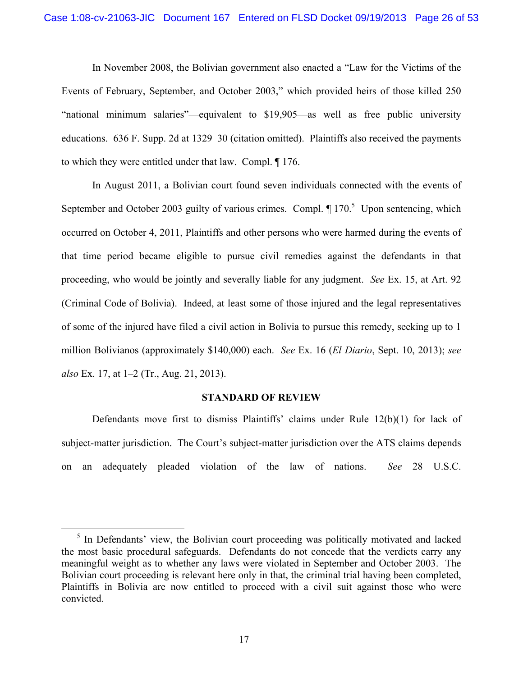In November 2008, the Bolivian government also enacted a "Law for the Victims of the Events of February, September, and October 2003," which provided heirs of those killed 250 "national minimum salaries"—equivalent to \$19,905—as well as free public university educations. 636 F. Supp. 2d at 1329–30 (citation omitted). Plaintiffs also received the payments to which they were entitled under that law. Compl. ¶ 176.

In August 2011, a Bolivian court found seven individuals connected with the events of September and October 2003 guilty of various crimes. Compl.  $\P$  170.<sup>5</sup> Upon sentencing, which occurred on October 4, 2011, Plaintiffs and other persons who were harmed during the events of that time period became eligible to pursue civil remedies against the defendants in that proceeding, who would be jointly and severally liable for any judgment. *See* Ex. 15, at Art. 92 (Criminal Code of Bolivia). Indeed, at least some of those injured and the legal representatives of some of the injured have filed a civil action in Bolivia to pursue this remedy, seeking up to 1 million Bolivianos (approximately \$140,000) each. *See* Ex. 16 (*El Diario*, Sept. 10, 2013); *see also* Ex. 17, at 1–2 (Tr., Aug. 21, 2013).

#### **STANDARD OF REVIEW**

Defendants move first to dismiss Plaintiffs' claims under Rule 12(b)(1) for lack of subject-matter jurisdiction. The Court's subject-matter jurisdiction over the ATS claims depends on an adequately pleaded violation of the law of nations. *See* 28 U.S.C.

<sup>&</sup>lt;sup>5</sup> In Defendants' view, the Bolivian court proceeding was politically motivated and lacked the most basic procedural safeguards. Defendants do not concede that the verdicts carry any meaningful weight as to whether any laws were violated in September and October 2003. The Bolivian court proceeding is relevant here only in that, the criminal trial having been completed, Plaintiffs in Bolivia are now entitled to proceed with a civil suit against those who were convicted.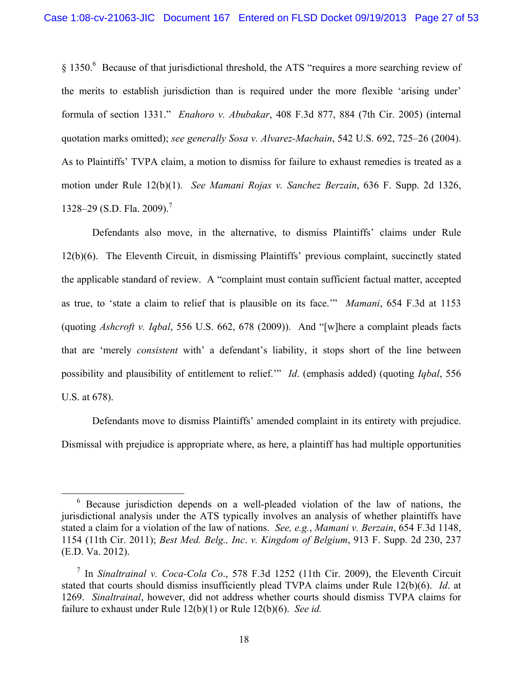§ 1350.<sup>6</sup> Because of that jurisdictional threshold, the ATS "requires a more searching review of the merits to establish jurisdiction than is required under the more flexible 'arising under' formula of section 1331." *Enahoro v. Abubakar*, 408 F.3d 877, 884 (7th Cir. 2005) (internal quotation marks omitted); *see generally Sosa v. Alvarez-Machain*, 542 U.S. 692, 725–26 (2004). As to Plaintiffs' TVPA claim, a motion to dismiss for failure to exhaust remedies is treated as a motion under Rule 12(b)(1). *See Mamani Rojas v. Sanchez Berzain*, 636 F. Supp. 2d 1326, 1328–29 (S.D. Fla. 2009).<sup>7</sup>

Defendants also move, in the alternative, to dismiss Plaintiffs' claims under Rule 12(b)(6). The Eleventh Circuit, in dismissing Plaintiffs' previous complaint, succinctly stated the applicable standard of review. A "complaint must contain sufficient factual matter, accepted as true, to 'state a claim to relief that is plausible on its face.'" *Mamani*, 654 F.3d at 1153 (quoting *Ashcroft v. Iqbal*, 556 U.S. 662, 678 (2009)). And "[w]here a complaint pleads facts that are 'merely *consistent* with' a defendant's liability, it stops short of the line between possibility and plausibility of entitlement to relief.'" *Id*. (emphasis added) (quoting *Iqbal*, 556 U.S. at 678).

Defendants move to dismiss Plaintiffs' amended complaint in its entirety with prejudice. Dismissal with prejudice is appropriate where, as here, a plaintiff has had multiple opportunities

<sup>6</sup> Because jurisdiction depends on a well-pleaded violation of the law of nations, the jurisdictional analysis under the ATS typically involves an analysis of whether plaintiffs have stated a claim for a violation of the law of nations. *See, e.g.*, *Mamani v. Berzain*, 654 F.3d 1148, 1154 (11th Cir. 2011); *Best Med. Belg., Inc*. *v. Kingdom of Belgium*, 913 F. Supp. 2d 230, 237 (E.D. Va. 2012).

<sup>7</sup> In *Sinaltrainal v. Coca-Cola Co*., 578 F.3d 1252 (11th Cir. 2009), the Eleventh Circuit stated that courts should dismiss insufficiently plead TVPA claims under Rule 12(b)(6). *Id*. at 1269. *Sinaltrainal*, however, did not address whether courts should dismiss TVPA claims for failure to exhaust under Rule 12(b)(1) or Rule 12(b)(6). *See id.*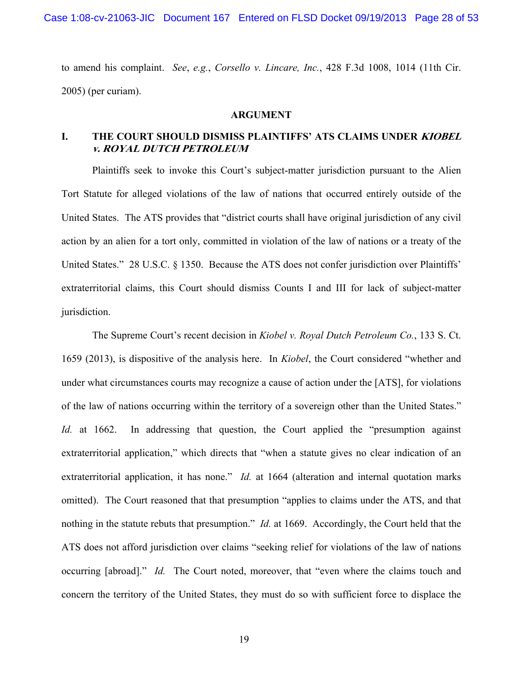Case 1:08-cv-21063-JIC Document 167 Entered on FLSD Docket 09/19/2013 Page 28 of 53

to amend his complaint. *See*, *e.g.*, *Corsello v. Lincare, Inc.*, 428 F.3d 1008, 1014 (11th Cir. 2005) (per curiam).

#### **ARGUMENT**

# **I. THE COURT SHOULD DISMISS PLAINTIFFS' ATS CLAIMS UNDER KIOBEL v. ROYAL DUTCH PETROLEUM**

Plaintiffs seek to invoke this Court's subject-matter jurisdiction pursuant to the Alien Tort Statute for alleged violations of the law of nations that occurred entirely outside of the United States. The ATS provides that "district courts shall have original jurisdiction of any civil action by an alien for a tort only, committed in violation of the law of nations or a treaty of the United States." 28 U.S.C. § 1350. Because the ATS does not confer jurisdiction over Plaintiffs' extraterritorial claims, this Court should dismiss Counts I and III for lack of subject-matter jurisdiction.

The Supreme Court's recent decision in *Kiobel v. Royal Dutch Petroleum Co.*, 133 S. Ct. 1659 (2013), is dispositive of the analysis here. In *Kiobel*, the Court considered "whether and under what circumstances courts may recognize a cause of action under the [ATS], for violations of the law of nations occurring within the territory of a sovereign other than the United States." *Id.* at 1662. In addressing that question, the Court applied the "presumption against extraterritorial application," which directs that "when a statute gives no clear indication of an extraterritorial application, it has none." *Id.* at 1664 (alteration and internal quotation marks omitted). The Court reasoned that that presumption "applies to claims under the ATS, and that nothing in the statute rebuts that presumption." *Id.* at 1669. Accordingly, the Court held that the ATS does not afford jurisdiction over claims "seeking relief for violations of the law of nations occurring [abroad]." *Id.* The Court noted, moreover, that "even where the claims touch and concern the territory of the United States, they must do so with sufficient force to displace the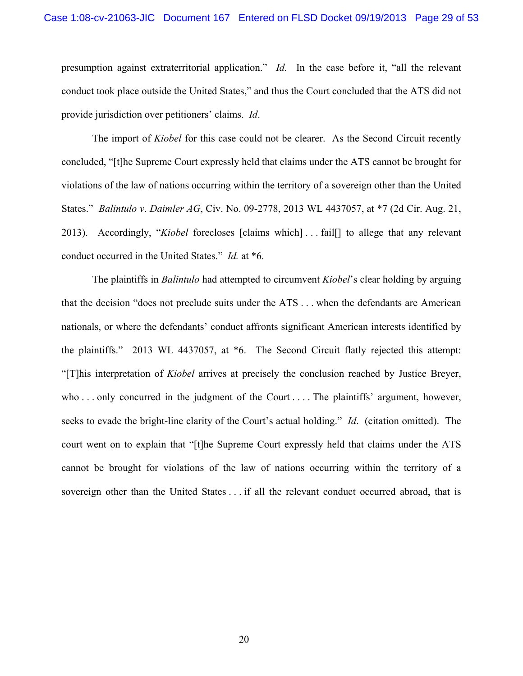presumption against extraterritorial application." *Id.* In the case before it, "all the relevant conduct took place outside the United States," and thus the Court concluded that the ATS did not provide jurisdiction over petitioners' claims. *Id*.

The import of *Kiobel* for this case could not be clearer. As the Second Circuit recently concluded, "[t]he Supreme Court expressly held that claims under the ATS cannot be brought for violations of the law of nations occurring within the territory of a sovereign other than the United States." *Balintulo v*. *Daimler AG*, Civ. No. 09-2778, 2013 WL 4437057, at \*7 (2d Cir. Aug. 21, 2013). Accordingly, "*Kiobel* forecloses [claims which] . . . fail[] to allege that any relevant conduct occurred in the United States." *Id.* at \*6.

The plaintiffs in *Balintulo* had attempted to circumvent *Kiobel*'s clear holding by arguing that the decision "does not preclude suits under the ATS . . . when the defendants are American nationals, or where the defendants' conduct affronts significant American interests identified by the plaintiffs." 2013 WL 4437057, at \*6. The Second Circuit flatly rejected this attempt: "[T]his interpretation of *Kiobel* arrives at precisely the conclusion reached by Justice Breyer, who ... only concurred in the judgment of the Court ... The plaintiffs' argument, however, seeks to evade the bright-line clarity of the Court's actual holding." *Id*. (citation omitted). The court went on to explain that "[t]he Supreme Court expressly held that claims under the ATS cannot be brought for violations of the law of nations occurring within the territory of a sovereign other than the United States . . . if all the relevant conduct occurred abroad, that is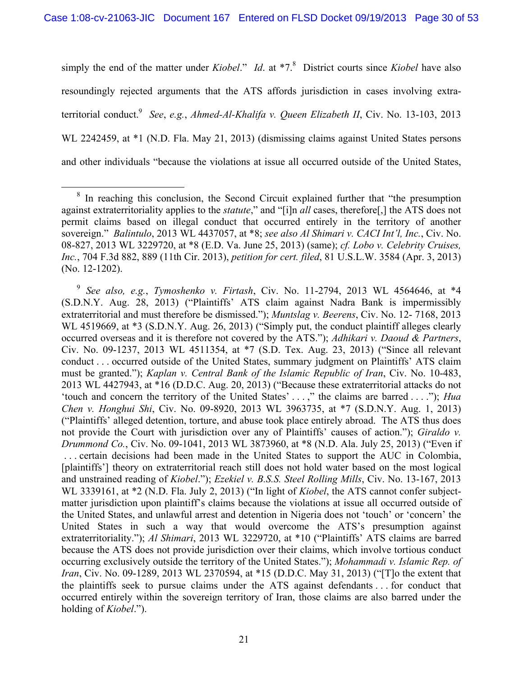simply the end of the matter under *Kiobel*." *Id*. at \*7.<sup>8</sup> District courts since *Kiobel* have also resoundingly rejected arguments that the ATS affords jurisdiction in cases involving extraterritorial conduct.9 *See*, *e.g.*, *Ahmed-Al-Khalifa v. Queen Elizabeth II*, Civ. No. 13-103, 2013 WL 2242459, at  $*1$  (N.D. Fla. May 21, 2013) (dismissing claims against United States persons and other individuals "because the violations at issue all occurred outside of the United States,

<sup>&</sup>lt;sup>8</sup> In reaching this conclusion, the Second Circuit explained further that "the presumption against extraterritoriality applies to the *statute*," and "[i]n *all* cases, therefore[,] the ATS does not permit claims based on illegal conduct that occurred entirely in the territory of another sovereign." *Balintulo*, 2013 WL 4437057, at \*8; *see also Al Shimari v. CACI Int'l, Inc.*, Civ. No. 08-827, 2013 WL 3229720, at \*8 (E.D. Va. June 25, 2013) (same); *cf. Lobo v. Celebrity Cruises, Inc.*, 704 F.3d 882, 889 (11th Cir. 2013), *petition for cert. filed*, 81 U.S.L.W. 3584 (Apr. 3, 2013) (No. 12-1202).

<sup>9</sup> *See also, e.g.*, *Tymoshenko v. Firtash*, Civ. No. 11-2794, 2013 WL 4564646, at \*4 (S.D.N.Y. Aug. 28, 2013) ("Plaintiffs' ATS claim against Nadra Bank is impermissibly extraterritorial and must therefore be dismissed."); *Muntslag v. Beerens*, Civ. No. 12- 7168, 2013 WL 4519669, at \*3 (S.D.N.Y. Aug. 26, 2013) ("Simply put, the conduct plaintiff alleges clearly occurred overseas and it is therefore not covered by the ATS."); *Adhikari v. Daoud & Partners*, Civ. No. 09-1237, 2013 WL 4511354, at \*7 (S.D. Tex. Aug. 23, 2013) ("Since all relevant conduct . . . occurred outside of the United States, summary judgment on Plaintiffs' ATS claim must be granted."); *Kaplan v. Central Bank of the Islamic Republic of Iran*, Civ. No. 10-483, 2013 WL 4427943, at \*16 (D.D.C. Aug. 20, 2013) ("Because these extraterritorial attacks do not 'touch and concern the territory of the United States' . . . ," the claims are barred . . . ."); *Hua Chen v. Honghui Shi*, Civ. No. 09-8920, 2013 WL 3963735, at \*7 (S.D.N.Y. Aug. 1, 2013) ("Plaintiffs' alleged detention, torture, and abuse took place entirely abroad. The ATS thus does not provide the Court with jurisdiction over any of Plaintiffs' causes of action."); *Giraldo v. Drummond Co.*, Civ. No. 09-1041, 2013 WL 3873960, at \*8 (N.D. Ala. July 25, 2013) ("Even if . . . certain decisions had been made in the United States to support the AUC in Colombia, [plaintiffs'] theory on extraterritorial reach still does not hold water based on the most logical and unstrained reading of *Kiobel*."); *Ezekiel v. B.S.S. Steel Rolling Mills*, Civ. No. 13-167, 2013 WL 3339161, at \*2 (N.D. Fla. July 2, 2013) ("In light of *Kiobel*, the ATS cannot confer subjectmatter jurisdiction upon plaintiff's claims because the violations at issue all occurred outside of the United States, and unlawful arrest and detention in Nigeria does not 'touch' or 'concern' the United States in such a way that would overcome the ATS's presumption against extraterritoriality."); *Al Shimari*, 2013 WL 3229720, at \*10 ("Plaintiffs' ATS claims are barred because the ATS does not provide jurisdiction over their claims, which involve tortious conduct occurring exclusively outside the territory of the United States."); *Mohammadi v. Islamic Rep. of Iran*, Civ. No. 09-1289, 2013 WL 2370594, at \*15 (D.D.C. May 31, 2013) ("[T]o the extent that the plaintiffs seek to pursue claims under the ATS against defendants . . . for conduct that occurred entirely within the sovereign territory of Iran, those claims are also barred under the holding of *Kiobel*.").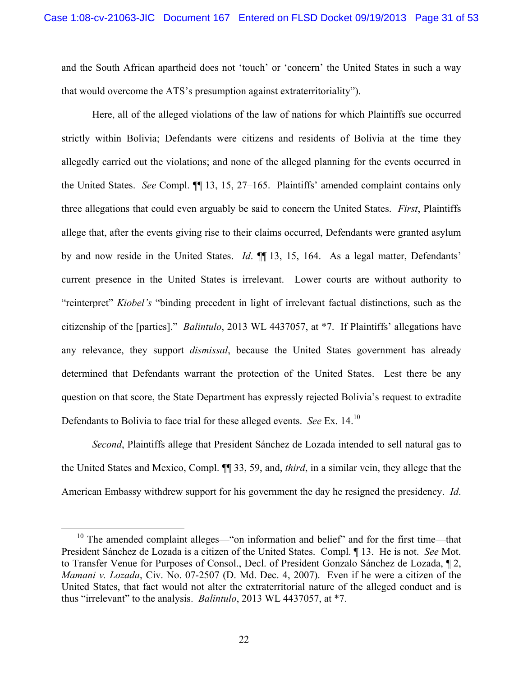and the South African apartheid does not 'touch' or 'concern' the United States in such a way that would overcome the ATS's presumption against extraterritoriality").

Here, all of the alleged violations of the law of nations for which Plaintiffs sue occurred strictly within Bolivia; Defendants were citizens and residents of Bolivia at the time they allegedly carried out the violations; and none of the alleged planning for the events occurred in the United States. *See* Compl. ¶¶ 13, 15, 27–165. Plaintiffs' amended complaint contains only three allegations that could even arguably be said to concern the United States. *First*, Plaintiffs allege that, after the events giving rise to their claims occurred, Defendants were granted asylum by and now reside in the United States. *Id*. ¶¶ 13, 15, 164. As a legal matter, Defendants' current presence in the United States is irrelevant. Lower courts are without authority to "reinterpret" *Kiobel's* "binding precedent in light of irrelevant factual distinctions, such as the citizenship of the [parties]." *Balintulo*, 2013 WL 4437057, at \*7. If Plaintiffs' allegations have any relevance, they support *dismissal*, because the United States government has already determined that Defendants warrant the protection of the United States. Lest there be any question on that score, the State Department has expressly rejected Bolivia's request to extradite Defendants to Bolivia to face trial for these alleged events. *See* Ex. 14.10

*Second*, Plaintiffs allege that President Sánchez de Lozada intended to sell natural gas to the United States and Mexico, Compl. ¶¶ 33, 59, and, *third*, in a similar vein, they allege that the American Embassy withdrew support for his government the day he resigned the presidency. *Id*.

<sup>&</sup>lt;sup>10</sup> The amended complaint alleges—"on information and belief" and for the first time—that President Sánchez de Lozada is a citizen of the United States. Compl. ¶ 13. He is not. *See* Mot. to Transfer Venue for Purposes of Consol., Decl. of President Gonzalo Sánchez de Lozada, ¶ 2, *Mamani v. Lozada*, Civ. No. 07-2507 (D. Md. Dec. 4, 2007). Even if he were a citizen of the United States, that fact would not alter the extraterritorial nature of the alleged conduct and is thus "irrelevant" to the analysis. *Balintulo*, 2013 WL 4437057, at \*7.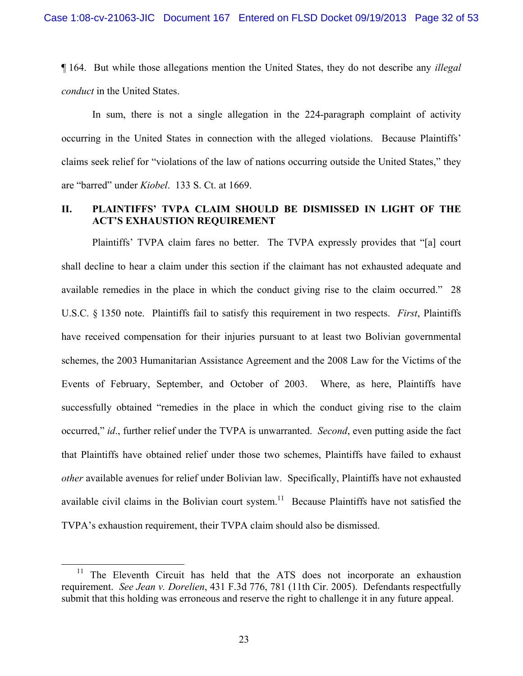¶ 164.But while those allegations mention the United States, they do not describe any *illegal conduct* in the United States.

In sum, there is not a single allegation in the 224-paragraph complaint of activity occurring in the United States in connection with the alleged violations. Because Plaintiffs' claims seek relief for "violations of the law of nations occurring outside the United States," they are "barred" under *Kiobel*. 133 S. Ct. at 1669.

# **II. PLAINTIFFS' TVPA CLAIM SHOULD BE DISMISSED IN LIGHT OF THE ACT'S EXHAUSTION REQUIREMENT**

Plaintiffs' TVPA claim fares no better. The TVPA expressly provides that "[a] court shall decline to hear a claim under this section if the claimant has not exhausted adequate and available remedies in the place in which the conduct giving rise to the claim occurred." 28 U.S.C. § 1350 note. Plaintiffs fail to satisfy this requirement in two respects. *First*, Plaintiffs have received compensation for their injuries pursuant to at least two Bolivian governmental schemes, the 2003 Humanitarian Assistance Agreement and the 2008 Law for the Victims of the Events of February, September, and October of 2003. Where, as here, Plaintiffs have successfully obtained "remedies in the place in which the conduct giving rise to the claim occurred," *id*., further relief under the TVPA is unwarranted. *Second*, even putting aside the fact that Plaintiffs have obtained relief under those two schemes, Plaintiffs have failed to exhaust *other* available avenues for relief under Bolivian law. Specifically, Plaintiffs have not exhausted available civil claims in the Bolivian court system.<sup>11</sup> Because Plaintiffs have not satisfied the TVPA's exhaustion requirement, their TVPA claim should also be dismissed.

The Eleventh Circuit has held that the ATS does not incorporate an exhaustion requirement. *See Jean v. Dorelien*, 431 F.3d 776, 781 (11th Cir. 2005). Defendants respectfully submit that this holding was erroneous and reserve the right to challenge it in any future appeal.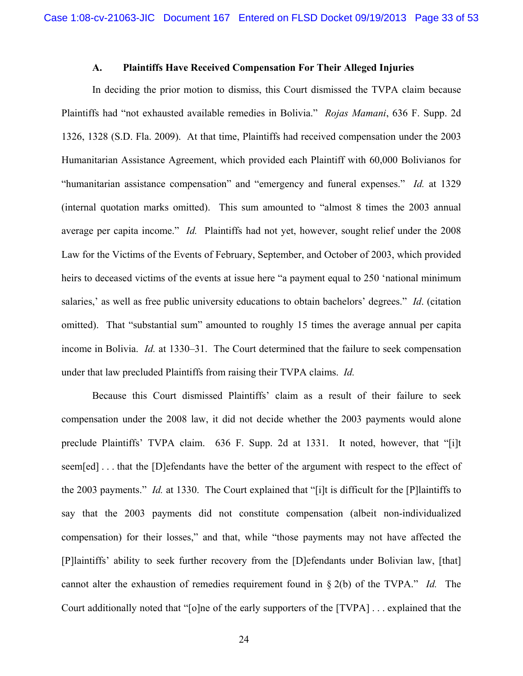### **A. Plaintiffs Have Received Compensation For Their Alleged Injuries**

In deciding the prior motion to dismiss, this Court dismissed the TVPA claim because Plaintiffs had "not exhausted available remedies in Bolivia." *Rojas Mamani*, 636 F. Supp. 2d 1326, 1328 (S.D. Fla. 2009). At that time, Plaintiffs had received compensation under the 2003 Humanitarian Assistance Agreement, which provided each Plaintiff with 60,000 Bolivianos for "humanitarian assistance compensation" and "emergency and funeral expenses." *Id.* at 1329 (internal quotation marks omitted). This sum amounted to "almost 8 times the 2003 annual average per capita income." *Id.* Plaintiffs had not yet, however, sought relief under the 2008 Law for the Victims of the Events of February, September, and October of 2003, which provided heirs to deceased victims of the events at issue here "a payment equal to 250 'national minimum salaries,' as well as free public university educations to obtain bachelors' degrees." *Id*. (citation omitted).That "substantial sum" amounted to roughly 15 times the average annual per capita income in Bolivia. *Id.* at 1330–31.The Court determined that the failure to seek compensation under that law precluded Plaintiffs from raising their TVPA claims. *Id.* 

Because this Court dismissed Plaintiffs' claim as a result of their failure to seek compensation under the 2008 law, it did not decide whether the 2003 payments would alone preclude Plaintiffs' TVPA claim. 636 F. Supp. 2d at 1331. It noted, however, that "[i]t seem[ed] . . . that the [D]efendants have the better of the argument with respect to the effect of the 2003 payments." *Id.* at 1330. The Court explained that "[i]t is difficult for the [P]laintiffs to say that the 2003 payments did not constitute compensation (albeit non-individualized compensation) for their losses," and that, while "those payments may not have affected the [P]laintiffs' ability to seek further recovery from the [D]efendants under Bolivian law, [that] cannot alter the exhaustion of remedies requirement found in § 2(b) of the TVPA." *Id.* The Court additionally noted that "[o]ne of the early supporters of the [TVPA] . . . explained that the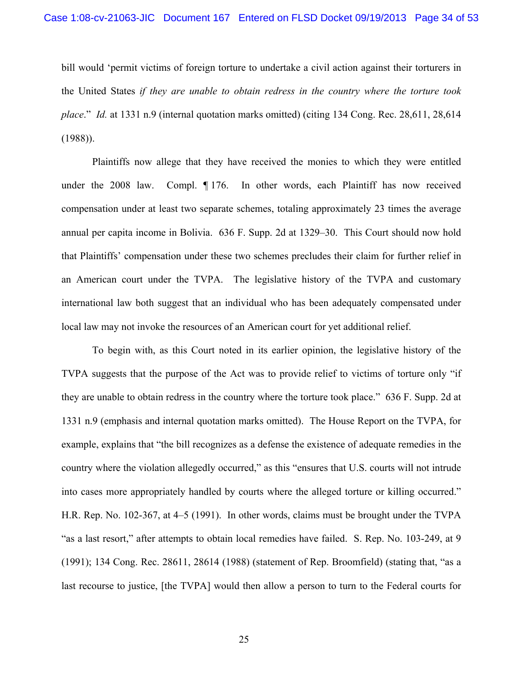bill would 'permit victims of foreign torture to undertake a civil action against their torturers in the United States *if they are unable to obtain redress in the country where the torture took place*." *Id.* at 1331 n.9 (internal quotation marks omitted) (citing 134 Cong. Rec. 28,611, 28,614 (1988)).

Plaintiffs now allege that they have received the monies to which they were entitled under the 2008 law. Compl. ¶ 176. In other words, each Plaintiff has now received compensation under at least two separate schemes, totaling approximately 23 times the average annual per capita income in Bolivia. 636 F. Supp. 2d at 1329–30. This Court should now hold that Plaintiffs' compensation under these two schemes precludes their claim for further relief in an American court under the TVPA. The legislative history of the TVPA and customary international law both suggest that an individual who has been adequately compensated under local law may not invoke the resources of an American court for yet additional relief.

To begin with, as this Court noted in its earlier opinion, the legislative history of the TVPA suggests that the purpose of the Act was to provide relief to victims of torture only "if they are unable to obtain redress in the country where the torture took place." 636 F. Supp. 2d at 1331 n.9 (emphasis and internal quotation marks omitted). The House Report on the TVPA, for example, explains that "the bill recognizes as a defense the existence of adequate remedies in the country where the violation allegedly occurred," as this "ensures that U.S. courts will not intrude into cases more appropriately handled by courts where the alleged torture or killing occurred." H.R. Rep. No. 102-367, at 4–5 (1991). In other words, claims must be brought under the TVPA "as a last resort," after attempts to obtain local remedies have failed. S. Rep. No. 103-249, at 9 (1991); 134 Cong. Rec. 28611, 28614 (1988) (statement of Rep. Broomfield) (stating that, "as a last recourse to justice, [the TVPA] would then allow a person to turn to the Federal courts for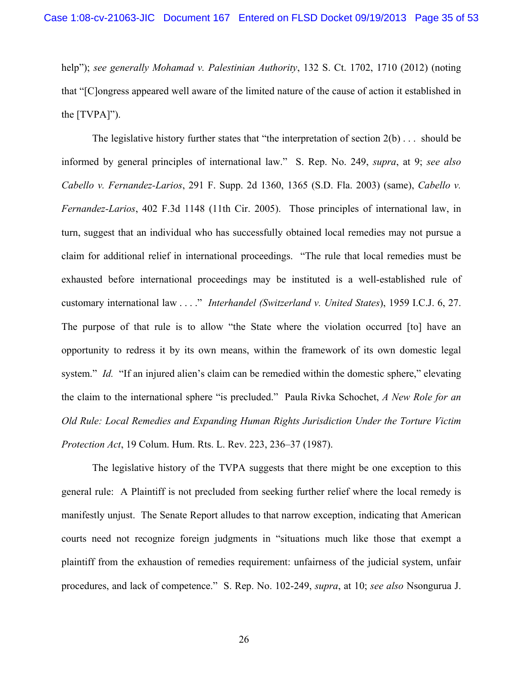help"); *see generally Mohamad v. Palestinian Authority*, 132 S. Ct. 1702, 1710 (2012) (noting that "[C]ongress appeared well aware of the limited nature of the cause of action it established in the [TVPA]").

The legislative history further states that "the interpretation of section  $2(b) \ldots$  should be informed by general principles of international law." S. Rep. No. 249, *supra*, at 9; *see also Cabello v. Fernandez-Larios*, 291 F. Supp. 2d 1360, 1365 (S.D. Fla. 2003) (same), *Cabello v. Fernandez-Larios*, 402 F.3d 1148 (11th Cir. 2005). Those principles of international law, in turn, suggest that an individual who has successfully obtained local remedies may not pursue a claim for additional relief in international proceedings. "The rule that local remedies must be exhausted before international proceedings may be instituted is a well-established rule of customary international law . . . ." *Interhandel (Switzerland v. United States*), 1959 I.C.J. 6, 27. The purpose of that rule is to allow "the State where the violation occurred [to] have an opportunity to redress it by its own means, within the framework of its own domestic legal system." *Id.* "If an injured alien's claim can be remedied within the domestic sphere," elevating the claim to the international sphere "is precluded." Paula Rivka Schochet, *A New Role for an Old Rule: Local Remedies and Expanding Human Rights Jurisdiction Under the Torture Victim Protection Act*, 19 Colum. Hum. Rts. L. Rev. 223, 236–37 (1987).

The legislative history of the TVPA suggests that there might be one exception to this general rule: A Plaintiff is not precluded from seeking further relief where the local remedy is manifestly unjust. The Senate Report alludes to that narrow exception, indicating that American courts need not recognize foreign judgments in "situations much like those that exempt a plaintiff from the exhaustion of remedies requirement: unfairness of the judicial system, unfair procedures, and lack of competence." S. Rep. No. 102-249, *supra*, at 10; *see also* Nsongurua J.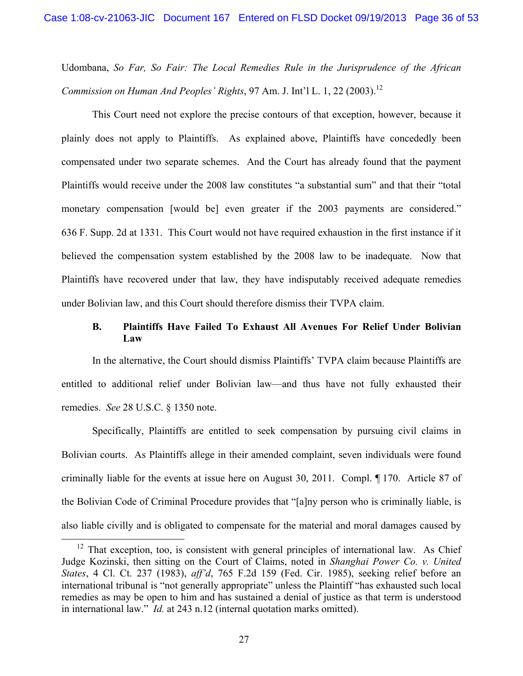Udombana, *So Far, So Fair: The Local Remedies Rule in the Jurisprudence of the African Commission on Human And Peoples' Rights*, 97 Am. J. Int'l L. 1, 22 (2003).<sup>12</sup>

 This Court need not explore the precise contours of that exception, however, because it plainly does not apply to Plaintiffs. As explained above, Plaintiffs have concededly been compensated under two separate schemes. And the Court has already found that the payment Plaintiffs would receive under the 2008 law constitutes "a substantial sum" and that their "total monetary compensation [would be] even greater if the 2003 payments are considered." 636 F. Supp. 2d at 1331. This Court would not have required exhaustion in the first instance if it believed the compensation system established by the 2008 law to be inadequate. Now that Plaintiffs have recovered under that law, they have indisputably received adequate remedies under Bolivian law, and this Court should therefore dismiss their TVPA claim.

# **B. Plaintiffs Have Failed To Exhaust All Avenues For Relief Under Bolivian Law**

In the alternative, the Court should dismiss Plaintiffs' TVPA claim because Plaintiffs are entitled to additional relief under Bolivian law—and thus have not fully exhausted their remedies. *See* 28 U.S.C. § 1350 note.

Specifically, Plaintiffs are entitled to seek compensation by pursuing civil claims in Bolivian courts. As Plaintiffs allege in their amended complaint, seven individuals were found criminally liable for the events at issue here on August 30, 2011. Compl. ¶ 170. Article 87 of the Bolivian Code of Criminal Procedure provides that "[a]ny person who is criminally liable, is also liable civilly and is obligated to compensate for the material and moral damages caused by

 $12$  That exception, too, is consistent with general principles of international law. As Chief Judge Kozinski, then sitting on the Court of Claims, noted in *Shanghai Power Co. v. United States*, 4 Cl. Ct. 237 (1983), *aff'd*, 765 F.2d 159 (Fed. Cir. 1985), seeking relief before an international tribunal is "not generally appropriate" unless the Plaintiff "has exhausted such local remedies as may be open to him and has sustained a denial of justice as that term is understood in international law." *Id.* at 243 n.12 (internal quotation marks omitted).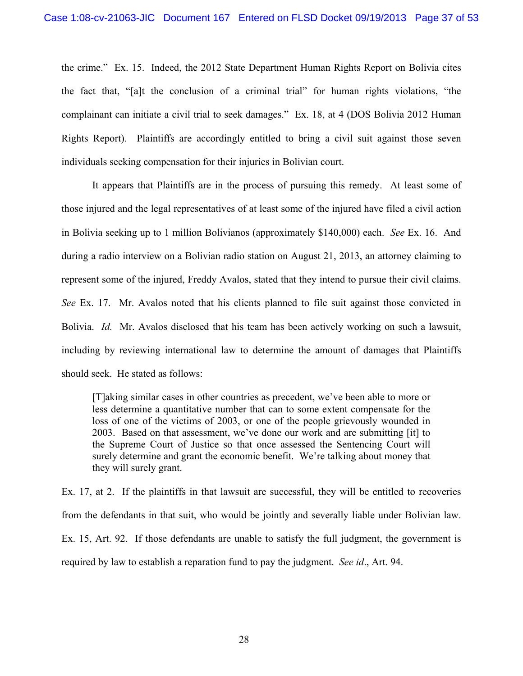the crime." Ex. 15. Indeed, the 2012 State Department Human Rights Report on Bolivia cites the fact that, "[a]t the conclusion of a criminal trial" for human rights violations, "the complainant can initiate a civil trial to seek damages." Ex. 18, at 4 (DOS Bolivia 2012 Human Rights Report). Plaintiffs are accordingly entitled to bring a civil suit against those seven individuals seeking compensation for their injuries in Bolivian court.

It appears that Plaintiffs are in the process of pursuing this remedy. At least some of those injured and the legal representatives of at least some of the injured have filed a civil action in Bolivia seeking up to 1 million Bolivianos (approximately \$140,000) each. *See* Ex. 16. And during a radio interview on a Bolivian radio station on August 21, 2013, an attorney claiming to represent some of the injured, Freddy Avalos, stated that they intend to pursue their civil claims. *See* Ex. 17. Mr. Avalos noted that his clients planned to file suit against those convicted in Bolivia. *Id.* Mr. Avalos disclosed that his team has been actively working on such a lawsuit, including by reviewing international law to determine the amount of damages that Plaintiffs should seek. He stated as follows:

[T]aking similar cases in other countries as precedent, we've been able to more or less determine a quantitative number that can to some extent compensate for the loss of one of the victims of 2003, or one of the people grievously wounded in 2003. Based on that assessment, we've done our work and are submitting [it] to the Supreme Court of Justice so that once assessed the Sentencing Court will surely determine and grant the economic benefit. We're talking about money that they will surely grant.

Ex. 17, at 2. If the plaintiffs in that lawsuit are successful, they will be entitled to recoveries from the defendants in that suit, who would be jointly and severally liable under Bolivian law. Ex. 15, Art. 92. If those defendants are unable to satisfy the full judgment, the government is required by law to establish a reparation fund to pay the judgment. *See id*., Art. 94.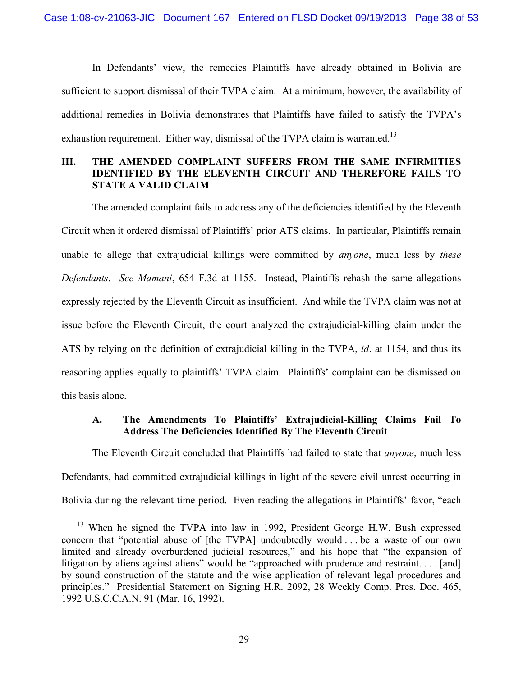In Defendants' view, the remedies Plaintiffs have already obtained in Bolivia are sufficient to support dismissal of their TVPA claim. At a minimum, however, the availability of additional remedies in Bolivia demonstrates that Plaintiffs have failed to satisfy the TVPA's exhaustion requirement. Either way, dismissal of the TVPA claim is warranted.<sup>13</sup>

# **III. THE AMENDED COMPLAINT SUFFERS FROM THE SAME INFIRMITIES IDENTIFIED BY THE ELEVENTH CIRCUIT AND THEREFORE FAILS TO STATE A VALID CLAIM**

The amended complaint fails to address any of the deficiencies identified by the Eleventh Circuit when it ordered dismissal of Plaintiffs' prior ATS claims. In particular, Plaintiffs remain unable to allege that extrajudicial killings were committed by *anyone*, much less by *these Defendants*. *See Mamani*, 654 F.3d at 1155. Instead, Plaintiffs rehash the same allegations expressly rejected by the Eleventh Circuit as insufficient. And while the TVPA claim was not at issue before the Eleventh Circuit, the court analyzed the extrajudicial-killing claim under the ATS by relying on the definition of extrajudicial killing in the TVPA, *id*. at 1154, and thus its reasoning applies equally to plaintiffs' TVPA claim. Plaintiffs' complaint can be dismissed on this basis alone.

# **A. The Amendments To Plaintiffs' Extrajudicial-Killing Claims Fail To Address The Deficiencies Identified By The Eleventh Circuit**

The Eleventh Circuit concluded that Plaintiffs had failed to state that *anyone*, much less Defendants, had committed extrajudicial killings in light of the severe civil unrest occurring in Bolivia during the relevant time period. Even reading the allegations in Plaintiffs' favor, "each

 $13$  When he signed the TVPA into law in 1992, President George H.W. Bush expressed concern that "potential abuse of [the TVPA] undoubtedly would . . . be a waste of our own limited and already overburdened judicial resources," and his hope that "the expansion of litigation by aliens against aliens" would be "approached with prudence and restraint.... [and] by sound construction of the statute and the wise application of relevant legal procedures and principles." Presidential Statement on Signing H.R. 2092, 28 Weekly Comp. Pres. Doc. 465, 1992 U.S.C.C.A.N. 91 (Mar. 16, 1992).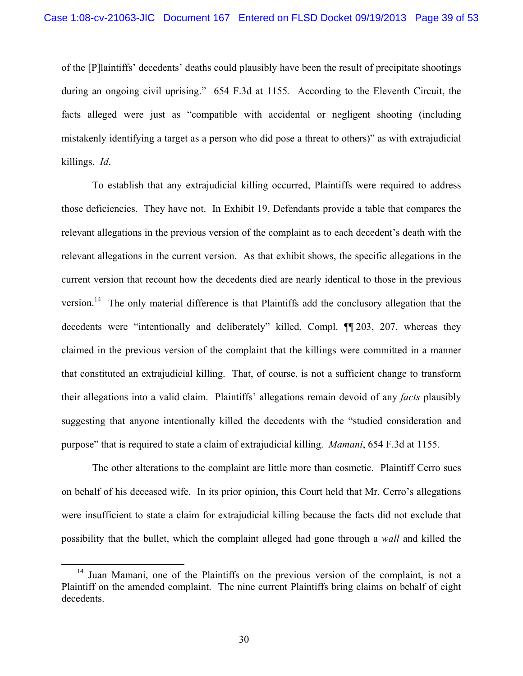of the [P]laintiffs' decedents' deaths could plausibly have been the result of precipitate shootings during an ongoing civil uprising." 654 F.3d at 1155*.* According to the Eleventh Circuit, the facts alleged were just as "compatible with accidental or negligent shooting (including mistakenly identifying a target as a person who did pose a threat to others)" as with extrajudicial killings. *Id*.

To establish that any extrajudicial killing occurred, Plaintiffs were required to address those deficiencies. They have not. In Exhibit 19, Defendants provide a table that compares the relevant allegations in the previous version of the complaint as to each decedent's death with the relevant allegations in the current version. As that exhibit shows, the specific allegations in the current version that recount how the decedents died are nearly identical to those in the previous version.<sup>14</sup> The only material difference is that Plaintiffs add the conclusory allegation that the decedents were "intentionally and deliberately" killed, Compl. ¶¶ 203, 207, whereas they claimed in the previous version of the complaint that the killings were committed in a manner that constituted an extrajudicial killing. That, of course, is not a sufficient change to transform their allegations into a valid claim. Plaintiffs' allegations remain devoid of any *facts* plausibly suggesting that anyone intentionally killed the decedents with the "studied consideration and purpose" that is required to state a claim of extrajudicial killing. *Mamani*, 654 F.3d at 1155.

The other alterations to the complaint are little more than cosmetic. Plaintiff Cerro sues on behalf of his deceased wife. In its prior opinion, this Court held that Mr. Cerro's allegations were insufficient to state a claim for extrajudicial killing because the facts did not exclude that possibility that the bullet, which the complaint alleged had gone through a *wall* and killed the

<sup>&</sup>lt;sup>14</sup> Juan Mamani, one of the Plaintiffs on the previous version of the complaint, is not a Plaintiff on the amended complaint. The nine current Plaintiffs bring claims on behalf of eight decedents.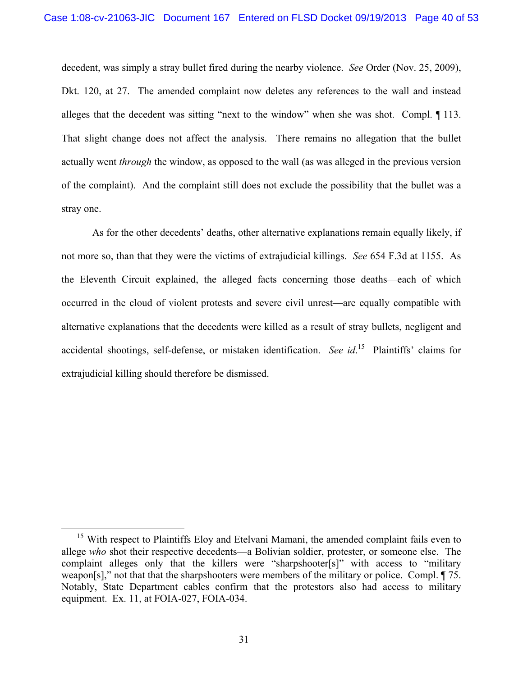decedent, was simply a stray bullet fired during the nearby violence. *See* Order (Nov. 25, 2009), Dkt. 120, at 27. The amended complaint now deletes any references to the wall and instead alleges that the decedent was sitting "next to the window" when she was shot. Compl. ¶ 113. That slight change does not affect the analysis. There remains no allegation that the bullet actually went *through* the window, as opposed to the wall (as was alleged in the previous version of the complaint). And the complaint still does not exclude the possibility that the bullet was a stray one.

As for the other decedents' deaths, other alternative explanations remain equally likely, if not more so, than that they were the victims of extrajudicial killings. *See* 654 F.3d at 1155. As the Eleventh Circuit explained, the alleged facts concerning those deaths—each of which occurred in the cloud of violent protests and severe civil unrest—are equally compatible with alternative explanations that the decedents were killed as a result of stray bullets, negligent and accidental shootings, self-defense, or mistaken identification. *See id*. 15 Plaintiffs' claims for extrajudicial killing should therefore be dismissed.

<sup>&</sup>lt;sup>15</sup> With respect to Plaintiffs Eloy and Etelvani Mamani, the amended complaint fails even to allege *who* shot their respective decedents—a Bolivian soldier, protester, or someone else. The complaint alleges only that the killers were "sharpshooter[s]" with access to "military weapon[s]," not that that the sharpshooters were members of the military or police. Compl. ¶ 75. Notably, State Department cables confirm that the protestors also had access to military equipment. Ex. 11, at FOIA-027, FOIA-034.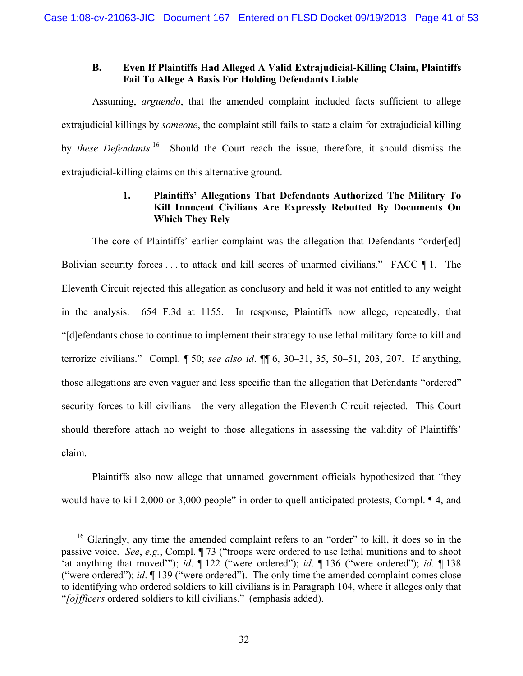# **B. Even If Plaintiffs Had Alleged A Valid Extrajudicial-Killing Claim, Plaintiffs Fail To Allege A Basis For Holding Defendants Liable**

Assuming, *arguendo*, that the amended complaint included facts sufficient to allege extrajudicial killings by *someone*, the complaint still fails to state a claim for extrajudicial killing by *these Defendants*. 16 Should the Court reach the issue, therefore, it should dismiss the extrajudicial-killing claims on this alternative ground.

# **1. Plaintiffs' Allegations That Defendants Authorized The Military To Kill Innocent Civilians Are Expressly Rebutted By Documents On Which They Rely**

The core of Plaintiffs' earlier complaint was the allegation that Defendants "order[ed] Bolivian security forces . . . to attack and kill scores of unarmed civilians." FACC ¶ 1. The Eleventh Circuit rejected this allegation as conclusory and held it was not entitled to any weight in the analysis. 654 F.3d at 1155. In response, Plaintiffs now allege, repeatedly, that "[d]efendants chose to continue to implement their strategy to use lethal military force to kill and terrorize civilians." Compl. ¶ 50; *see also id*. ¶¶ 6, 30–31, 35, 50–51, 203, 207. If anything, those allegations are even vaguer and less specific than the allegation that Defendants "ordered" security forces to kill civilians—the very allegation the Eleventh Circuit rejected. This Court should therefore attach no weight to those allegations in assessing the validity of Plaintiffs' claim.

Plaintiffs also now allege that unnamed government officials hypothesized that "they would have to kill 2,000 or 3,000 people" in order to quell anticipated protests, Compl.  $\P$ 4, and

<sup>&</sup>lt;sup>16</sup> Glaringly, any time the amended complaint refers to an "order" to kill, it does so in the passive voice. *See*, *e.g.*, Compl. ¶ 73 ("troops were ordered to use lethal munitions and to shoot 'at anything that moved'"); *id*. ¶ 122 ("were ordered"); *id*. ¶ 136 ("were ordered"); *id*. ¶ 138 ("were ordered"); *id*. ¶ 139 ("were ordered"). The only time the amended complaint comes close to identifying who ordered soldiers to kill civilians is in Paragraph 104, where it alleges only that "*[o]fficers* ordered soldiers to kill civilians." (emphasis added).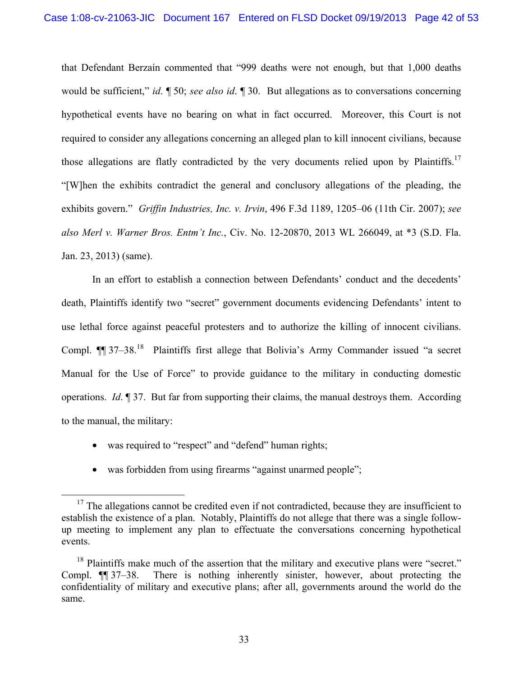that Defendant Berzaín commented that "999 deaths were not enough, but that 1,000 deaths would be sufficient," *id*. ¶ 50; *see also id*. ¶ 30. But allegations as to conversations concerning hypothetical events have no bearing on what in fact occurred. Moreover, this Court is not required to consider any allegations concerning an alleged plan to kill innocent civilians, because those allegations are flatly contradicted by the very documents relied upon by Plaintiffs.<sup>17</sup> "[W]hen the exhibits contradict the general and conclusory allegations of the pleading, the exhibits govern." *Griffin Industries, Inc. v. Irvin*, 496 F.3d 1189, 1205–06 (11th Cir. 2007); *see also Merl v. Warner Bros. Entm't Inc.*, Civ. No. 12-20870, 2013 WL 266049, at \*3 (S.D. Fla. Jan. 23, 2013) (same).

In an effort to establish a connection between Defendants' conduct and the decedents' death, Plaintiffs identify two "secret" government documents evidencing Defendants' intent to use lethal force against peaceful protesters and to authorize the killing of innocent civilians. Compl.  $\P$  37–38.<sup>18</sup> Plaintiffs first allege that Bolivia's Army Commander issued "a secret" Manual for the Use of Force" to provide guidance to the military in conducting domestic operations. *Id*. ¶ 37. But far from supporting their claims, the manual destroys them. According to the manual, the military:

- was required to "respect" and "defend" human rights;
- was forbidden from using firearms "against unarmed people";

<sup>&</sup>lt;sup>17</sup> The allegations cannot be credited even if not contradicted, because they are insufficient to establish the existence of a plan. Notably, Plaintiffs do not allege that there was a single followup meeting to implement any plan to effectuate the conversations concerning hypothetical events.

<sup>&</sup>lt;sup>18</sup> Plaintiffs make much of the assertion that the military and executive plans were "secret." Compl. ¶¶ 37–38. There is nothing inherently sinister, however, about protecting the confidentiality of military and executive plans; after all, governments around the world do the same.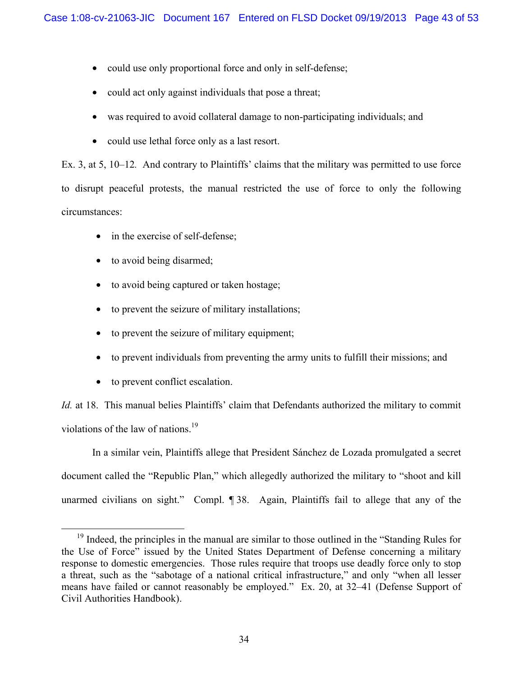- could use only proportional force and only in self-defense;
- could act only against individuals that pose a threat;
- was required to avoid collateral damage to non-participating individuals; and
- could use lethal force only as a last resort.

Ex. 3, at 5, 10–12*.* And contrary to Plaintiffs' claims that the military was permitted to use force to disrupt peaceful protests, the manual restricted the use of force to only the following circumstances:

- in the exercise of self-defense;
- to avoid being disarmed;
- to avoid being captured or taken hostage;
- to prevent the seizure of military installations;
- to prevent the seizure of military equipment;
- to prevent individuals from preventing the army units to fulfill their missions; and
- to prevent conflict escalation.

*Id.* at 18. This manual belies Plaintiffs' claim that Defendants authorized the military to commit violations of the law of nations.<sup>19</sup>

In a similar vein, Plaintiffs allege that President Sánchez de Lozada promulgated a secret document called the "Republic Plan," which allegedly authorized the military to "shoot and kill unarmed civilians on sight." Compl. ¶ 38. Again, Plaintiffs fail to allege that any of the

<sup>&</sup>lt;sup>19</sup> Indeed, the principles in the manual are similar to those outlined in the "Standing Rules for the Use of Force" issued by the United States Department of Defense concerning a military response to domestic emergencies. Those rules require that troops use deadly force only to stop a threat, such as the "sabotage of a national critical infrastructure," and only "when all lesser means have failed or cannot reasonably be employed." Ex. 20, at 32–41 (Defense Support of Civil Authorities Handbook).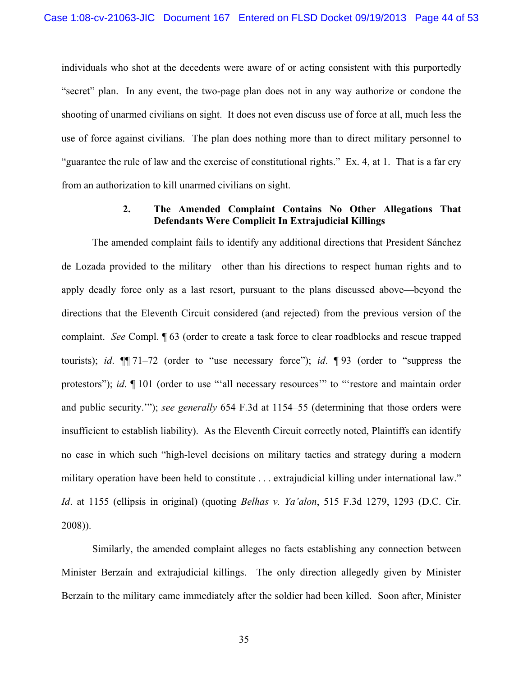individuals who shot at the decedents were aware of or acting consistent with this purportedly "secret" plan. In any event, the two-page plan does not in any way authorize or condone the shooting of unarmed civilians on sight. It does not even discuss use of force at all, much less the use of force against civilians. The plan does nothing more than to direct military personnel to "guarantee the rule of law and the exercise of constitutional rights." Ex. 4, at 1. That is a far cry from an authorization to kill unarmed civilians on sight.

# **2. The Amended Complaint Contains No Other Allegations That Defendants Were Complicit In Extrajudicial Killings**

The amended complaint fails to identify any additional directions that President Sánchez de Lozada provided to the military—other than his directions to respect human rights and to apply deadly force only as a last resort, pursuant to the plans discussed above—beyond the directions that the Eleventh Circuit considered (and rejected) from the previous version of the complaint. *See* Compl. ¶ 63 (order to create a task force to clear roadblocks and rescue trapped tourists); *id*. ¶¶ 71–72 (order to "use necessary force"); *id*. ¶ 93 (order to "suppress the protestors"); *id*.  $\P$  101 (order to use ""all necessary resources" to "'restore and maintain order and public security.'"); *see generally* 654 F.3d at 1154–55 (determining that those orders were insufficient to establish liability). As the Eleventh Circuit correctly noted, Plaintiffs can identify no case in which such "high-level decisions on military tactics and strategy during a modern military operation have been held to constitute ... extrajudicial killing under international law." *Id*. at 1155 (ellipsis in original) (quoting *Belhas v. Ya'alon*, 515 F.3d 1279, 1293 (D.C. Cir. 2008)).

Similarly, the amended complaint alleges no facts establishing any connection between Minister Berzaín and extrajudicial killings. The only direction allegedly given by Minister Berzaín to the military came immediately after the soldier had been killed. Soon after, Minister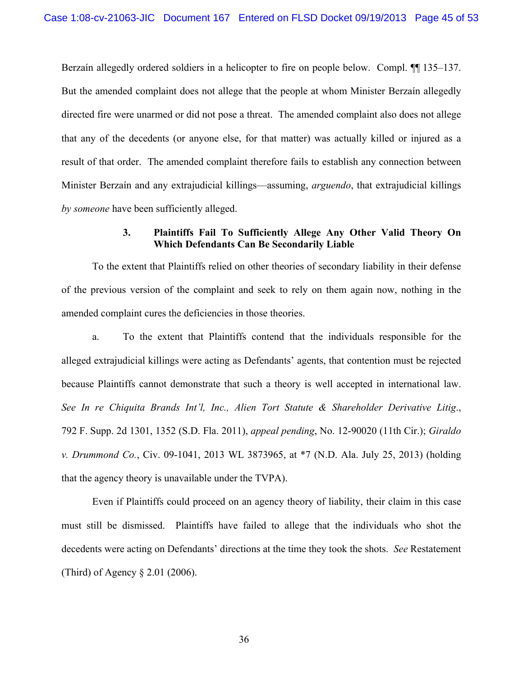Berzaín allegedly ordered soldiers in a helicopter to fire on people below. Compl.  $\P$ [135–137. But the amended complaint does not allege that the people at whom Minister Berzaín allegedly directed fire were unarmed or did not pose a threat. The amended complaint also does not allege that any of the decedents (or anyone else, for that matter) was actually killed or injured as a result of that order. The amended complaint therefore fails to establish any connection between Minister Berzaín and any extrajudicial killings—assuming, *arguendo*, that extrajudicial killings *by someone* have been sufficiently alleged.

# **3. Plaintiffs Fail To Sufficiently Allege Any Other Valid Theory On Which Defendants Can Be Secondarily Liable**

To the extent that Plaintiffs relied on other theories of secondary liability in their defense of the previous version of the complaint and seek to rely on them again now, nothing in the amended complaint cures the deficiencies in those theories.

a. To the extent that Plaintiffs contend that the individuals responsible for the alleged extrajudicial killings were acting as Defendants' agents, that contention must be rejected because Plaintiffs cannot demonstrate that such a theory is well accepted in international law. *See In re Chiquita Brands Int'l, Inc., Alien Tort Statute & Shareholder Derivative Litig*., 792 F. Supp. 2d 1301, 1352 (S.D. Fla. 2011), *appeal pending*, No. 12-90020 (11th Cir.); *Giraldo v. Drummond Co.*, Civ. 09-1041, 2013 WL 3873965, at \*7 (N.D. Ala. July 25, 2013) (holding that the agency theory is unavailable under the TVPA).

Even if Plaintiffs could proceed on an agency theory of liability, their claim in this case must still be dismissed. Plaintiffs have failed to allege that the individuals who shot the decedents were acting on Defendants' directions at the time they took the shots. *See* Restatement (Third) of Agency § 2.01 (2006).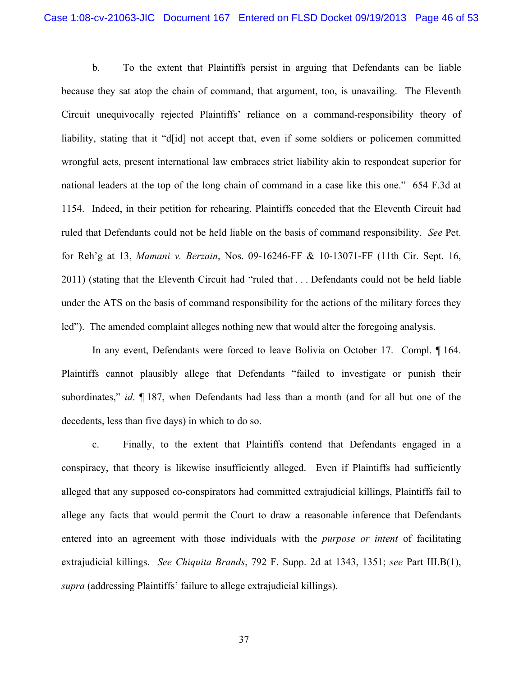b. To the extent that Plaintiffs persist in arguing that Defendants can be liable because they sat atop the chain of command, that argument, too, is unavailing. The Eleventh Circuit unequivocally rejected Plaintiffs' reliance on a command-responsibility theory of liability, stating that it "d[id] not accept that, even if some soldiers or policemen committed wrongful acts, present international law embraces strict liability akin to respondeat superior for national leaders at the top of the long chain of command in a case like this one." 654 F.3d at 1154. Indeed, in their petition for rehearing, Plaintiffs conceded that the Eleventh Circuit had ruled that Defendants could not be held liable on the basis of command responsibility. *See* Pet. for Reh'g at 13, *Mamani v. Berzain*, Nos. 09-16246-FF & 10-13071-FF (11th Cir. Sept. 16, 2011) (stating that the Eleventh Circuit had "ruled that . . . Defendants could not be held liable under the ATS on the basis of command responsibility for the actions of the military forces they led"). The amended complaint alleges nothing new that would alter the foregoing analysis.

In any event, Defendants were forced to leave Bolivia on October 17. Compl. ¶ 164. Plaintiffs cannot plausibly allege that Defendants "failed to investigate or punish their subordinates," *id*. ¶ 187, when Defendants had less than a month (and for all but one of the decedents, less than five days) in which to do so.

c. Finally, to the extent that Plaintiffs contend that Defendants engaged in a conspiracy, that theory is likewise insufficiently alleged. Even if Plaintiffs had sufficiently alleged that any supposed co-conspirators had committed extrajudicial killings, Plaintiffs fail to allege any facts that would permit the Court to draw a reasonable inference that Defendants entered into an agreement with those individuals with the *purpose or intent* of facilitating extrajudicial killings. *See Chiquita Brands*, 792 F. Supp. 2d at 1343, 1351; *see* Part III.B(1), *supra* (addressing Plaintiffs' failure to allege extrajudicial killings).

37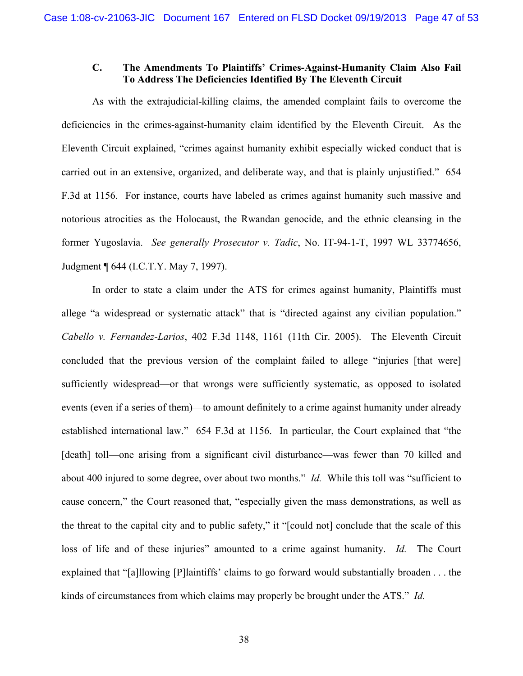## **C. The Amendments To Plaintiffs' Crimes-Against-Humanity Claim Also Fail To Address The Deficiencies Identified By The Eleventh Circuit**

As with the extrajudicial-killing claims, the amended complaint fails to overcome the deficiencies in the crimes-against-humanity claim identified by the Eleventh Circuit. As the Eleventh Circuit explained, "crimes against humanity exhibit especially wicked conduct that is carried out in an extensive, organized, and deliberate way, and that is plainly unjustified." 654 F.3d at 1156. For instance, courts have labeled as crimes against humanity such massive and notorious atrocities as the Holocaust, the Rwandan genocide, and the ethnic cleansing in the former Yugoslavia. *See generally Prosecutor v. Tadic*, No. IT-94-1-T, 1997 WL 33774656, Judgment ¶ 644 (I.C.T.Y. May 7, 1997).

In order to state a claim under the ATS for crimes against humanity, Plaintiffs must allege "a widespread or systematic attack" that is "directed against any civilian population." *Cabello v. Fernandez-Larios*, 402 F.3d 1148, 1161 (11th Cir. 2005). The Eleventh Circuit concluded that the previous version of the complaint failed to allege "injuries [that were] sufficiently widespread—or that wrongs were sufficiently systematic, as opposed to isolated events (even if a series of them)—to amount definitely to a crime against humanity under already established international law." 654 F.3d at 1156. In particular, the Court explained that "the [death] toll—one arising from a significant civil disturbance—was fewer than 70 killed and about 400 injured to some degree, over about two months." *Id.* While this toll was "sufficient to cause concern," the Court reasoned that, "especially given the mass demonstrations, as well as the threat to the capital city and to public safety," it "[could not] conclude that the scale of this loss of life and of these injuries" amounted to a crime against humanity. *Id.* The Court explained that "[a]llowing [P]laintiffs' claims to go forward would substantially broaden . . . the kinds of circumstances from which claims may properly be brought under the ATS." *Id.*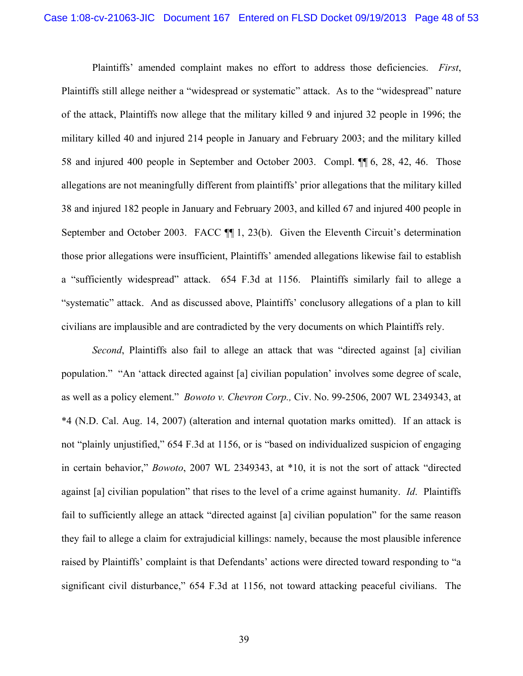Plaintiffs' amended complaint makes no effort to address those deficiencies. *First*, Plaintiffs still allege neither a "widespread or systematic" attack. As to the "widespread" nature of the attack, Plaintiffs now allege that the military killed 9 and injured 32 people in 1996; the military killed 40 and injured 214 people in January and February 2003; and the military killed 58 and injured 400 people in September and October 2003. Compl. ¶¶ 6, 28, 42, 46. Those allegations are not meaningfully different from plaintiffs' prior allegations that the military killed 38 and injured 182 people in January and February 2003, and killed 67 and injured 400 people in September and October 2003. FACC  $\P$  1, 23(b). Given the Eleventh Circuit's determination those prior allegations were insufficient, Plaintiffs' amended allegations likewise fail to establish a "sufficiently widespread" attack. 654 F.3d at 1156. Plaintiffs similarly fail to allege a "systematic" attack. And as discussed above, Plaintiffs' conclusory allegations of a plan to kill civilians are implausible and are contradicted by the very documents on which Plaintiffs rely.

*Second*, Plaintiffs also fail to allege an attack that was "directed against [a] civilian population." "An 'attack directed against [a] civilian population' involves some degree of scale, as well as a policy element." *Bowoto v. Chevron Corp.,* Civ. No. 99-2506, 2007 WL 2349343, at \*4 (N.D. Cal. Aug. 14, 2007) (alteration and internal quotation marks omitted). If an attack is not "plainly unjustified," 654 F.3d at 1156, or is "based on individualized suspicion of engaging in certain behavior," *Bowoto*, 2007 WL 2349343, at \*10, it is not the sort of attack "directed against [a] civilian population" that rises to the level of a crime against humanity. *Id*. Plaintiffs fail to sufficiently allege an attack "directed against [a] civilian population" for the same reason they fail to allege a claim for extrajudicial killings: namely, because the most plausible inference raised by Plaintiffs' complaint is that Defendants' actions were directed toward responding to "a significant civil disturbance," 654 F.3d at 1156, not toward attacking peaceful civilians. The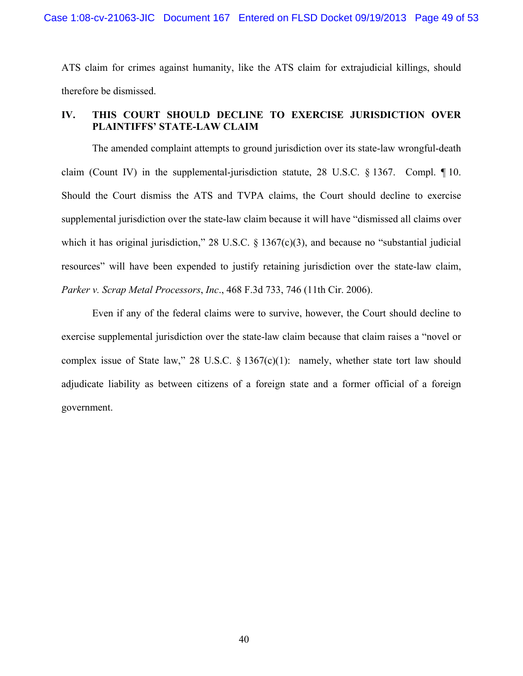ATS claim for crimes against humanity, like the ATS claim for extrajudicial killings, should therefore be dismissed.

# **IV. THIS COURT SHOULD DECLINE TO EXERCISE JURISDICTION OVER PLAINTIFFS' STATE-LAW CLAIM**

The amended complaint attempts to ground jurisdiction over its state-law wrongful-death claim (Count IV) in the supplemental-jurisdiction statute, 28 U.S.C. § 1367. Compl. ¶ 10. Should the Court dismiss the ATS and TVPA claims, the Court should decline to exercise supplemental jurisdiction over the state-law claim because it will have "dismissed all claims over which it has original jurisdiction," 28 U.S.C. § 1367(c)(3), and because no "substantial judicial resources" will have been expended to justify retaining jurisdiction over the state-law claim, *Parker v. Scrap Metal Processors*, *Inc*., 468 F.3d 733, 746 (11th Cir. 2006).

Even if any of the federal claims were to survive, however, the Court should decline to exercise supplemental jurisdiction over the state-law claim because that claim raises a "novel or complex issue of State law," 28 U.S.C.  $\S$  1367(c)(1): namely, whether state tort law should adjudicate liability as between citizens of a foreign state and a former official of a foreign government.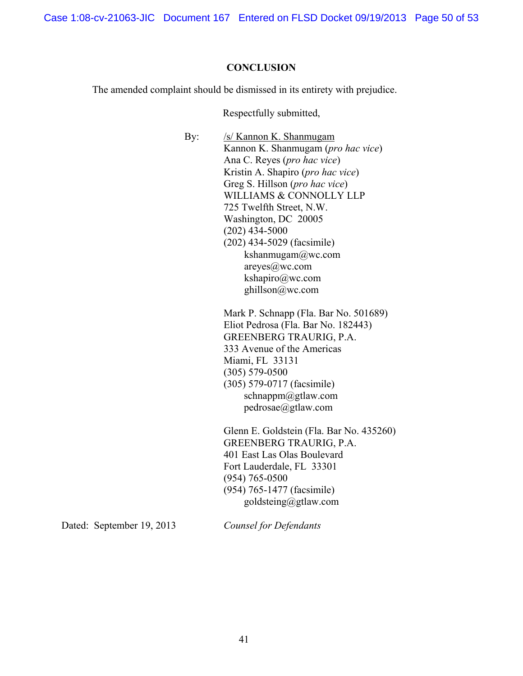Case 1:08-cv-21063-JIC Document 167 Entered on FLSD Docket 09/19/2013 Page 50 of 53

#### **CONCLUSION**

The amended complaint should be dismissed in its entirety with prejudice.

Respectfully submitted,

By: /s/ Kannon K. Shanmugam Kannon K. Shanmugam (*pro hac vice*) Ana C. Reyes (*pro hac vice*) Kristin A. Shapiro (*pro hac vice*) Greg S. Hillson (*pro hac vice*) WILLIAMS & CONNOLLY LLP 725 Twelfth Street, N.W. Washington, DC 20005 (202) 434-5000 (202) 434-5029 (facsimile) kshanmugam@wc.com areyes@wc.com kshapiro@wc.com ghillson@wc.com Mark P. Schnapp (Fla. Bar No. 501689) Eliot Pedrosa (Fla. Bar No. 182443) GREENBERG TRAURIG, P.A. 333 Avenue of the Americas Miami, FL 33131 (305) 579-0500 (305) 579-0717 (facsimile) schnappm@gtlaw.com pedrosae@gtlaw.com Glenn E. Goldstein (Fla. Bar No. 435260)

GREENBERG TRAURIG, P.A. 401 East Las Olas Boulevard Fort Lauderdale, FL 33301 (954) 765-0500 (954) 765-1477 (facsimile) goldsteing@gtlaw.com

Dated: September 19, 2013

*Counsel for Defendants*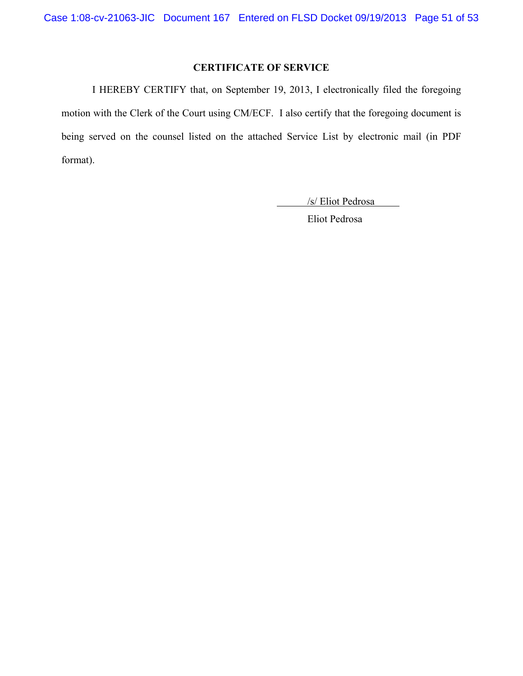# **CERTIFICATE OF SERVICE**

I HEREBY CERTIFY that, on September 19, 2013, I electronically filed the foregoing motion with the Clerk of the Court using CM/ECF. I also certify that the foregoing document is being served on the counsel listed on the attached Service List by electronic mail (in PDF format).

/s/ Eliot Pedrosa

Eliot Pedrosa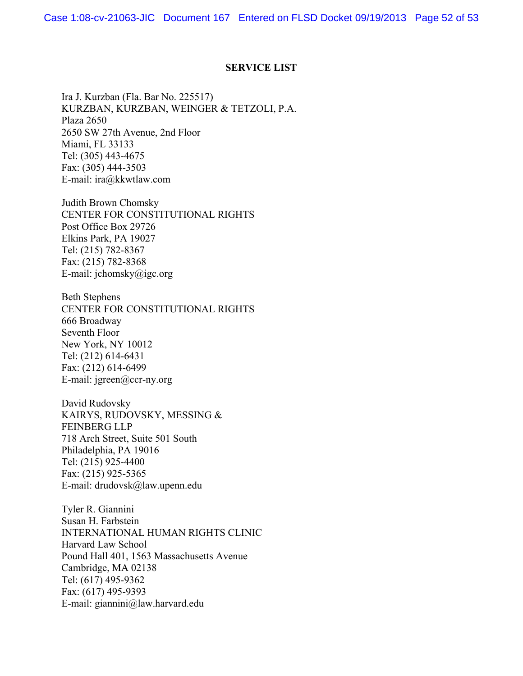#### **SERVICE LIST**

Ira J. Kurzban (Fla. Bar No. 225517) KURZBAN, KURZBAN, WEINGER & TETZOLI, P.A. Plaza 2650 2650 SW 27th Avenue, 2nd Floor Miami, FL 33133 Tel: (305) 443-4675 Fax: (305) 444-3503 E-mail: ira@kkwtlaw.com

Judith Brown Chomsky CENTER FOR CONSTITUTIONAL RIGHTS Post Office Box 29726 Elkins Park, PA 19027 Tel: (215) 782-8367 Fax: (215) 782-8368 E-mail: jchomsky@igc.org

Beth Stephens CENTER FOR CONSTITUTIONAL RIGHTS 666 Broadway Seventh Floor New York, NY 10012 Tel: (212) 614-6431 Fax: (212) 614-6499 E-mail: jgreen@ccr-ny.org

David Rudovsky KAIRYS, RUDOVSKY, MESSING & FEINBERG LLP 718 Arch Street, Suite 501 South Philadelphia, PA 19016 Tel: (215) 925-4400 Fax: (215) 925-5365 E-mail: drudovsk@law.upenn.edu

Tyler R. Giannini Susan H. Farbstein INTERNATIONAL HUMAN RIGHTS CLINIC Harvard Law School Pound Hall 401, 1563 Massachusetts Avenue Cambridge, MA 02138 Tel: (617) 495-9362 Fax: (617) 495-9393 E-mail: giannini@law.harvard.edu